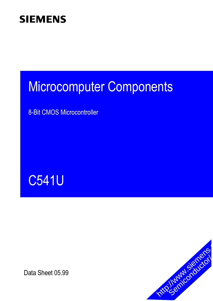# Microcomputer Components

8-Bit CMOS Microcontroller



Data Sheet 05.99

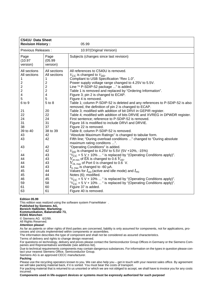| C541U Data Sheet<br><b>Revision History:</b>                                                                                                       |                                                                                                                                                                                                 | 05.99                                                                                                                                                                                                                                                                                                                                                                                                                                                                                                                                                                                                                                                                                                                                                                                                                                                                                                                                                                                                                                                                                                                                                                                                                                                                                                                             |
|----------------------------------------------------------------------------------------------------------------------------------------------------|-------------------------------------------------------------------------------------------------------------------------------------------------------------------------------------------------|-----------------------------------------------------------------------------------------------------------------------------------------------------------------------------------------------------------------------------------------------------------------------------------------------------------------------------------------------------------------------------------------------------------------------------------------------------------------------------------------------------------------------------------------------------------------------------------------------------------------------------------------------------------------------------------------------------------------------------------------------------------------------------------------------------------------------------------------------------------------------------------------------------------------------------------------------------------------------------------------------------------------------------------------------------------------------------------------------------------------------------------------------------------------------------------------------------------------------------------------------------------------------------------------------------------------------------------|
| Previous Releases :                                                                                                                                |                                                                                                                                                                                                 | 10.97(Original Version)                                                                                                                                                                                                                                                                                                                                                                                                                                                                                                                                                                                                                                                                                                                                                                                                                                                                                                                                                                                                                                                                                                                                                                                                                                                                                                           |
| Page<br>(10.97)<br>version)                                                                                                                        | Page<br>(05.99)<br>version)                                                                                                                                                                     | Subjects (changes since last revision)                                                                                                                                                                                                                                                                                                                                                                                                                                                                                                                                                                                                                                                                                                                                                                                                                                                                                                                                                                                                                                                                                                                                                                                                                                                                                            |
| All sections<br>All sections<br>1<br>2<br>2<br>2<br>4<br>5<br>6 to 9<br>21<br>22<br>24<br>31<br>38<br>39 to 40<br>43<br>43<br>43<br>44<br>44<br>44 | All sections<br>All sections<br>1<br>$\overline{c}$<br>$\overline{c}$<br>$\overline{2}$<br>4<br>5<br>5 to 8<br>20<br>22<br>24<br>31<br>37<br>38 to 39<br>42<br>42<br>42<br>42<br>43<br>43<br>43 | All references to C540U is removed.<br>$V_{\text{CC}}$ is changed to $V_{\text{DD}}$ .<br>Compliant to USB Specification "Rev 1.0".<br>Power supply voltage range changed to 4.25V to 5.5V.<br>Line "* P-SDIP-52 package " is added.<br>Table 1 is removed and replaced by "Ordering Information".<br>Figure 3; pin 2 is changed to ECAP.<br>Figure 4 is removed.<br>Table 1; column P-SDIP-52 is deleted and any references to P-SDIP-52 is also<br>removed, the definition of pin 2 is changed to ECAP.<br>Table 3; modified with addition of bit DRVI in GEPIR register.<br>Table 4; modified with addition of bits DRVIE and XVREG in DPWDR register.<br>First sentence; reference to P-SDIP-52 is removed.<br>Figure 16 is modified to include DRVI and DRVIE.<br>Figure 22 is removed.<br>Table 8; column P-SDIP-52 is removed.<br>"Absolute Maximum Ratings" is changed to tabular form.<br>Fifth line; "During overload conditions " changed to "During absolute<br>maximum rating conditons ".<br>"Operating Conditions" is added.<br>$V_{DD}$ is changed to 4.25V to 5.5V (5V +10%, -15%)<br>" $V_{\text{CC}}$ = 5 V + 10%  " is replaced by "(Operating Conditions apply)".<br>$V_{\text{IH min}}$ of $\overline{\text{EA}}$ is changed to 0.6 $V_{\text{DD}}$ .<br>$V_{\text{OL max}}$ of Port 0 is changed to 0.6 V. |
| 44<br>45<br>45<br>46<br>59<br>61<br>63                                                                                                             | 43<br>44<br>44<br>45<br>58<br>60<br>61                                                                                                                                                          | $I_{\text{IL max}}$ is changed to -60 µA.<br>Values for $I_{\text{DD}}$ (active and idle mode) and $I_{\text{PD}}$<br>Notes (6); modified.<br>" $V_{\text{CC}} = 5 \text{ V} + 10\% \dots$ " is replaced by "(Operating Conditions apply)".<br>" $V_{\rm CC}$ = 5 V + 10%  " is replaced by "(Operating Conditions apply)".<br>Figure 37 is added.<br>Figure 40 is removed.                                                                                                                                                                                                                                                                                                                                                                                                                                                                                                                                                                                                                                                                                                                                                                                                                                                                                                                                                       |

#### **Edition 05.99**

This edition was realized using the software system FrameMaker $^{\circledR}$ .

**Published by Siemens AG, Bereich Halbleiter, Marketing-**

**Kommunikation, Balanstraße 73, 81541 München**

© Siemens AG 6/2/99.

All Rights Reserved.

**Attention please!**

As far as patents or other rights of third parties are concerned, liability is only assumed for components, not for applications, processes and circuits implemented within components or assemblies.

The information describes the type of component and shall not be considered as assured characteristics.

Terms of delivery and rights to change design reserved.

For questions on technology, delivery and prices please contact the Semiconductor Group Offices in Germany or the Siemens Companies and Representatives worldwide (see address list).

Due to technical requirements components may contain dangerous substances. For information on the types in question please contact your nearest Siemens Office, Semiconductor Group.

Siemens AG is an approved CECC manufacturer.

**Packing**

Please use the recycling operators known to you. We can also help you – get in touch with your nearest sales office. By agreement we will take packing material back, if it is sorted. You must bear the costs of transport.

For packing material that is returned to us unsorted or which we are not obliged to accept, we shall have to invoice you for any costs incurred.

**Components used in life-support devices or systems must be expressly authorized for such purpose!**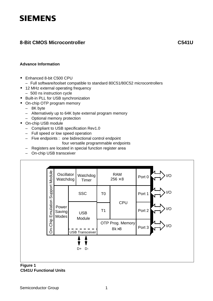# **8-Bit CMOS Microcontroller**

**C541U**

#### **Advance Information**

- **•** Enhanced 8-bit C500 CPU
	- Full software/toolset compatible to standard 80C51/80C52 microcontrollers
- **•** 12 MHz external operating frequency
	- 500 ns instruction cycle
- **•** Built-in PLL for USB synchronization
- **•** On-chip OTP program memory
	- 8K byte
	- Alternatively up to 64K byte external program memory
	- Optional memory protection
- **•** On-chip USB module
	- Compliant to USB specification Rev1.0
	- Full speed or low speed operation
	- Five endpoints : one bidirectional control endpoint
		- four versatile programmable endpoints
	- Registers are located in special function register area
	- On-chip USB transceiver



#### **Figure 1 C541U Functional Units**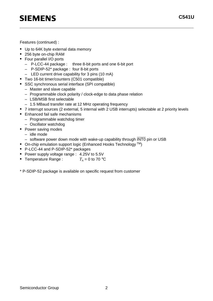Features (continued) :

- **•** Up to 64K byte external data memory
- **•** 256 byte on-chip RAM
- **•** Four parallel I/O ports
	- P-LCC-44 package : three 8-bit ports and one 6-bit port
	- P-SDIP-52\* package : four 8-bit ports
	- LED current drive capability for 3 pins (10 mA)
- **•** Two 16-bit timer/counters (C501 compatible)
- **•** SSC synchronous serial interface (SPI compatible)
	- Master and slave capable
	- Programmable clock polarity / clock-edge to data phase relation
	- LSB/MSB first selectable
	- 1.5 MBaud transfer rate at 12 MHz operating frequency
- **•** 7 interrupt sources (2 external, 5 internal with 2 USB interrupts) selectable at 2 priority levels
- **•** Enhanced fail safe mechanisms
	- Programmable watchdog timer
	- Oscillator watchdog
- **•** Power saving modes
	- idle mode
	- software power down mode with wake-up capability through  $\overline{INT0}$  pin or USB
- On-chip emulation support logic (Enhanced Hooks Technology<sup>TM</sup>)
- **•** P-LCC-44 and P-SDIP-52\* packages
- **•** Power supply voltage range : 4.25V to 5.5V
- Temperature Range :  $T_A = 0$  to 70 °C
- \* P-SDIP-52 package is available on specific request from customer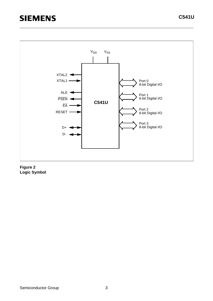

#### **Figure 2 Logic Symbol**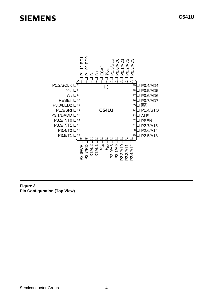

**Figure 3 Pin Configuration (Top View)**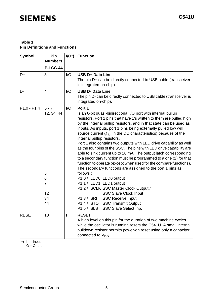| Symbol        | Pin<br><b>Numbers</b>                                                 | $I/O^*$     | <b>Function</b>                                                                                                                                                                                                                                                                                                                                                                                                                                                                                                                                                                                                                                                                                                                                                                                                                                                                                                                                                                                                                                                                                            |
|---------------|-----------------------------------------------------------------------|-------------|------------------------------------------------------------------------------------------------------------------------------------------------------------------------------------------------------------------------------------------------------------------------------------------------------------------------------------------------------------------------------------------------------------------------------------------------------------------------------------------------------------------------------------------------------------------------------------------------------------------------------------------------------------------------------------------------------------------------------------------------------------------------------------------------------------------------------------------------------------------------------------------------------------------------------------------------------------------------------------------------------------------------------------------------------------------------------------------------------------|
|               | <b>P-LCC-44</b>                                                       |             |                                                                                                                                                                                                                                                                                                                                                                                                                                                                                                                                                                                                                                                                                                                                                                                                                                                                                                                                                                                                                                                                                                            |
| D+            | 3                                                                     | I/O         | <b>USB D+ Data Line</b><br>The pin D+ can be directly connected to USB cable (transceiver<br>is integrated on-chip).                                                                                                                                                                                                                                                                                                                                                                                                                                                                                                                                                                                                                                                                                                                                                                                                                                                                                                                                                                                       |
| D-            | $\overline{4}$                                                        | I/O         | <b>USB D- Data Line</b><br>The pin D- can be directly connected to USB cable (transceiver is<br>integrated on-chip).                                                                                                                                                                                                                                                                                                                                                                                                                                                                                                                                                                                                                                                                                                                                                                                                                                                                                                                                                                                       |
| $P1.0 - P1.4$ | $5 - 7$ ,<br>12, 34, 44<br>5<br>6<br>$\overline{7}$<br>12<br>34<br>44 | I/O         | Port 1<br>is an 6-bit quasi-bidirectional I/O port with internal pullup<br>resistors. Port 1 pins that have 1's written to them are pulled high<br>by the internal pullup resistors, and in that state can be used as<br>inputs. As inputs, port 1 pins being externally pulled low will<br>source current $(I_{\parallel L}$ , in the DC characteristics) because of the<br>internal pullup resistors.<br>Port 1 also contains two outputs with LED drive capability as well<br>as the four pins of the SSC. The pins with LED drive capability are<br>able to sink current up to 10 mA. The output latch corresponding<br>to a secondary function must be programmed to a one (1) for that<br>function to operate (except when used for the compare functions).<br>The secondary functions are assigned to the port 1 pins as<br>follows:<br>P1.0 / LED0 LED0 output<br>P1.1 / LED1 LED1 output<br>P1.2 / SCLK SSC Master Clock Output /<br><b>SSC Slave Clock Input</b><br>P1.3 / SRI<br><b>SSC Receive Input</b><br>P1.4 / STO SSC Transmit Output<br>$P1.5 / \overline{SLS}$<br>SSC Slave Select Inp. |
| <b>RESET</b>  | 10                                                                    | $\mathsf I$ | <b>RESET</b><br>A high level on this pin for the duration of two machine cycles<br>while the oscillator is running resets the C541U. A small internal<br>pulldown resistor permits power-on reset using only a capacitor<br>connected to $V_{DD}$ .                                                                                                                                                                                                                                                                                                                                                                                                                                                                                                                                                                                                                                                                                                                                                                                                                                                        |

 $\check{\ }$ ) I = Input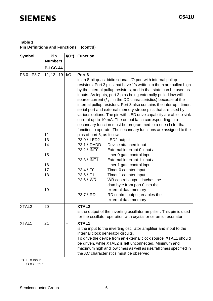## **Table 1 Pin Definitions and Functions (cont'd)**

| <b>Symbol</b>     | Pin             | $I/O^*$                                                         | <b>Function</b>                                                     |                                                                                                                                                         |  |  |  |  |  |  |
|-------------------|-----------------|-----------------------------------------------------------------|---------------------------------------------------------------------|---------------------------------------------------------------------------------------------------------------------------------------------------------|--|--|--|--|--|--|
|                   | <b>Numbers</b>  |                                                                 |                                                                     |                                                                                                                                                         |  |  |  |  |  |  |
|                   | <b>P-LCC-44</b> |                                                                 |                                                                     |                                                                                                                                                         |  |  |  |  |  |  |
| P3.0 - P3.7       | $11, 13 - 19$   | I/O                                                             | Port <sub>3</sub>                                                   |                                                                                                                                                         |  |  |  |  |  |  |
|                   |                 |                                                                 |                                                                     | is an 8-bit quasi-bidirectional I/O port with internal pullup                                                                                           |  |  |  |  |  |  |
|                   |                 |                                                                 |                                                                     | resistors. Port 3 pins that have 1's written to them are pulled high                                                                                    |  |  |  |  |  |  |
|                   |                 |                                                                 |                                                                     | by the internal pullup resistors, and in that state can be used as                                                                                      |  |  |  |  |  |  |
|                   |                 |                                                                 | inputs. As inputs, port 3 pins being externally pulled low will     |                                                                                                                                                         |  |  |  |  |  |  |
|                   |                 |                                                                 |                                                                     | source current $(I_{\parallel L})$ , in the DC characteristics) because of the<br>internal pullup resistors. Port 3 also contains the interrupt, timer, |  |  |  |  |  |  |
|                   |                 |                                                                 |                                                                     | serial port and external memory strobe pins that are used by                                                                                            |  |  |  |  |  |  |
|                   |                 |                                                                 |                                                                     | various options. The pin with LED drive capability are able to sink                                                                                     |  |  |  |  |  |  |
|                   |                 |                                                                 |                                                                     | current up to 10 mA. The output latch corresponding to a                                                                                                |  |  |  |  |  |  |
|                   |                 |                                                                 |                                                                     | secondary function must be programmed to a one (1) for that                                                                                             |  |  |  |  |  |  |
|                   |                 |                                                                 |                                                                     | function to operate. The secondary functions are assigned to the                                                                                        |  |  |  |  |  |  |
|                   | 11              |                                                                 | pins of port 3, as follows:                                         |                                                                                                                                                         |  |  |  |  |  |  |
|                   | 13              |                                                                 | P3.0 / LED2                                                         | LED <sub>2</sub> output                                                                                                                                 |  |  |  |  |  |  |
|                   | 14              |                                                                 | P3.1 / DADD                                                         | Device attached input                                                                                                                                   |  |  |  |  |  |  |
|                   |                 |                                                                 | P3.2 / INTO                                                         | External interrupt 0 input /                                                                                                                            |  |  |  |  |  |  |
|                   | 15              |                                                                 |                                                                     | timer 0 gate control input                                                                                                                              |  |  |  |  |  |  |
|                   |                 |                                                                 | P3.3 / INT1                                                         | External interrupt 1 input /                                                                                                                            |  |  |  |  |  |  |
|                   | 16              |                                                                 |                                                                     | timer 1 gate control input                                                                                                                              |  |  |  |  |  |  |
|                   | 17              |                                                                 | P3.4 / T0                                                           | Timer 0 counter input                                                                                                                                   |  |  |  |  |  |  |
|                   | 18              |                                                                 | P3.5 / T1                                                           | Timer 1 counter input                                                                                                                                   |  |  |  |  |  |  |
|                   |                 |                                                                 | $P3.6 / \overline{WR}$                                              | WR control output; latches the                                                                                                                          |  |  |  |  |  |  |
|                   | 19              |                                                                 |                                                                     | data byte from port 0 into the                                                                                                                          |  |  |  |  |  |  |
|                   |                 |                                                                 | external data memory<br>P3.7 / RD<br>RD control output; enables the |                                                                                                                                                         |  |  |  |  |  |  |
|                   |                 |                                                                 |                                                                     | external data memory                                                                                                                                    |  |  |  |  |  |  |
| XTAL <sub>2</sub> | 20              |                                                                 | XTAL <sub>2</sub>                                                   |                                                                                                                                                         |  |  |  |  |  |  |
|                   |                 |                                                                 |                                                                     | is the output of the inverting oscillator amplifier. This pin is used                                                                                   |  |  |  |  |  |  |
|                   |                 |                                                                 |                                                                     | for the oscillator operation with crystal or ceramic resonator.                                                                                         |  |  |  |  |  |  |
| XTAL1             | 21              |                                                                 | <b>XTAL1</b>                                                        |                                                                                                                                                         |  |  |  |  |  |  |
|                   |                 |                                                                 |                                                                     | is the input to the inverting oscillator amplifier and input to the                                                                                     |  |  |  |  |  |  |
|                   |                 |                                                                 | internal clock generator circuits.                                  |                                                                                                                                                         |  |  |  |  |  |  |
|                   |                 | To drive the device from an external clock source, XTAL1 should |                                                                     |                                                                                                                                                         |  |  |  |  |  |  |
|                   |                 |                                                                 |                                                                     | be driven, while XTAL2 is left unconnected. Minimum and                                                                                                 |  |  |  |  |  |  |
|                   |                 |                                                                 |                                                                     | maximum high and low times as well as rise/fall times specified in                                                                                      |  |  |  |  |  |  |
|                   |                 |                                                                 |                                                                     | the AC characteristics must be observed.                                                                                                                |  |  |  |  |  |  |

 $\check{\ }$ ) I = Input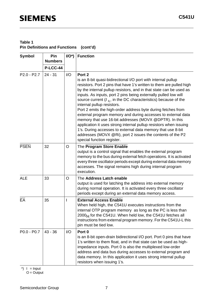## **Table 1 Pin Definitions and Functions (cont'd)**

| Symbol          | Pin<br><b>Numbers</b> | $I/O^*$ | <b>Function</b>                                                                                                                                                                                                                                                                                                                                                                                                                                                                                                                                                                                                                                                                                                                                                                                                                   |
|-----------------|-----------------------|---------|-----------------------------------------------------------------------------------------------------------------------------------------------------------------------------------------------------------------------------------------------------------------------------------------------------------------------------------------------------------------------------------------------------------------------------------------------------------------------------------------------------------------------------------------------------------------------------------------------------------------------------------------------------------------------------------------------------------------------------------------------------------------------------------------------------------------------------------|
|                 | <b>P-LCC-44</b>       |         |                                                                                                                                                                                                                                                                                                                                                                                                                                                                                                                                                                                                                                                                                                                                                                                                                                   |
| $P2.0 - P2.7$   | $24 - 31$             | I/O     | Port 2<br>is an 8-bit quasi-bidirectional I/O port with internal pullup<br>resistors. Port 2 pins that have 1's written to them are pulled high<br>by the internal pullup resistors, and in that state can be used as<br>inputs. As inputs, port 2 pins being externally pulled low will<br>source current $(I_{\parallel L}$ , in the DC characteristics) because of the<br>internal pullup resistors.<br>Port 2 emits the high-order address byte during fetches from<br>external program memory and during accesses to external data<br>memory that use 16-bit addresses (MOVX @DPTR). In this<br>application it uses strong internal pullup resistors when issuing<br>1's. During accesses to external data memory that use 8-bit<br>addresses (MOVX @Ri), port 2 issues the contents of the P2<br>special function register. |
| <b>PSEN</b>     | 32                    | O       | The Program Store Enable<br>output is a control signal that enables the external program<br>memory to the bus during external fetch operations. It is activated<br>every three oscillator periods except during external data memory<br>accesses. The signal remains high during internal program<br>execution.                                                                                                                                                                                                                                                                                                                                                                                                                                                                                                                   |
| <b>ALE</b>      | 33                    | O       | The Address Latch enable<br>output is used for latching the address into external memory<br>during normal operation. It is activated every three oscillator<br>periods except during an external data memory access.                                                                                                                                                                                                                                                                                                                                                                                                                                                                                                                                                                                                              |
| $E\overline{A}$ | 35                    | I       | <b>External Access Enable</b><br>When held high, the C541U executes instructions from the<br>internal OTP program memory as long as the PC is less than<br>2000 <sub>H</sub> for the C541U. When held low, the C541U fetches all<br>instructions from external program memory. For the C541U-L this<br>pin must be tied low.                                                                                                                                                                                                                                                                                                                                                                                                                                                                                                      |
| $P0.0 - P0.7$   | $43 - 36$             | 1/O     | Port 0<br>is an 8-bit open-drain bidirectional I/O port. Port 0 pins that have<br>1's written to them float, and in that state can be used as high-<br>impedance inputs. Port 0 is also the multiplexed low-order<br>address and data bus during accesses to external program and<br>data memory. In this application it uses strong internal pullup<br>resistors when issuing 1's.                                                                                                                                                                                                                                                                                                                                                                                                                                               |

\*)  $I = Input$  $O =$ Output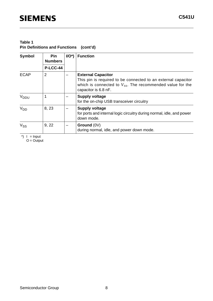### **Table 1 Pin Definitions and Functions (cont'd)**

| Symbol           | <b>Pin</b><br><b>Numbers</b> | $I/O^*$ | <b>Function</b>                                                                                                                                                                      |
|------------------|------------------------------|---------|--------------------------------------------------------------------------------------------------------------------------------------------------------------------------------------|
|                  | P-LCC-44                     |         |                                                                                                                                                                                      |
| <b>ECAP</b>      | 2                            |         | <b>External Capacitor</b><br>This pin is required to be connected to an external capacitor<br>which is connected to $V_{ss}$ . The recommended value for the<br>capacitor is 6.8 nF. |
| V <sub>DDU</sub> |                              |         | <b>Supply voltage</b><br>for the on-chip USB transceiver circuitry                                                                                                                   |
| V <sub>DD</sub>  | 8, 23                        |         | <b>Supply voltage</b><br>for ports and internal logic circuitry during normal, idle, and power<br>down mode.                                                                         |
| $V_{SS}$         | 9, 22                        |         | Ground (0V)<br>during normal, idle, and power down mode.                                                                                                                             |

 $\check{\ }$ ) I = Input

O = Output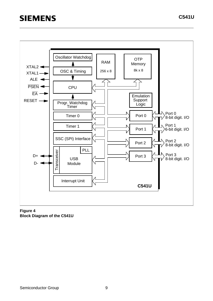

**Figure 4 Block Diagram of the C541U**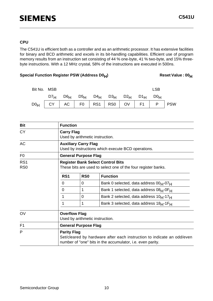#### **CPU**

The C541U is efficient both as a controller and as an arithmetic processor. It has extensive facilities for binary and BCD arithmetic and excels in its bit-handling capabilities. Efficient use of program memory results from an instruction set consisting of 44 % one-byte, 41 % two-byte, and 15% threebyte instructions. With a 12 MHz crystal, 58% of the instructions are executed in 500ns.

### Special Function Register PSW (Address D0<sub>H</sub>) Reset Value : 00<sub>H</sub>

# D0 $_{\mathsf{H}}$   $\mid$  CY  $\mid$  AC  $\mid$  F0  $\mid$  RS1  $\mid$  RS0  $\mid$  OV  $\mid$  F1  $\mid$  P  $\mid$  PSW D7H D6H D5H D4H D3H D2H D1H D0H Bit No. MSB LSB LSB

| <b>Bit</b>             | <b>Function</b>      |                                                                                                           |                                                                                                                                      |  |  |  |
|------------------------|----------------------|-----------------------------------------------------------------------------------------------------------|--------------------------------------------------------------------------------------------------------------------------------------|--|--|--|
| <b>CY</b>              |                      | <b>Carry Flag</b><br>Used by arithmetic instruction.                                                      |                                                                                                                                      |  |  |  |
| <b>AC</b>              |                      | <b>Auxiliary Carry Flag</b><br>Used by instructions which execute BCD operations.                         |                                                                                                                                      |  |  |  |
| F <sub>0</sub>         |                      | <b>General Purpose Flag</b>                                                                               |                                                                                                                                      |  |  |  |
| RS1<br>R <sub>S0</sub> |                      | <b>Register Bank Select Control Bits</b><br>These bits are used to select one of the four register banks. |                                                                                                                                      |  |  |  |
|                        | RS <sub>1</sub>      | R <sub>S0</sub>                                                                                           | <b>Function</b>                                                                                                                      |  |  |  |
|                        | 0                    | 0                                                                                                         | Bank 0 selected, data address 00 <sub>H</sub> -07 <sub>H</sub>                                                                       |  |  |  |
|                        | 0                    | 1                                                                                                         | Bank 1 selected, data address 08 <sub>H</sub> -0F <sub>H</sub>                                                                       |  |  |  |
|                        | 1                    | $\overline{0}$                                                                                            | Bank 2 selected, data address 10 <sub>H</sub> -17 <sub>H</sub>                                                                       |  |  |  |
|                        | 1                    | 1                                                                                                         | Bank 3 selected, data address 18 <sub>H</sub> -1F <sub>H</sub>                                                                       |  |  |  |
| OV                     | <b>Overflow Flag</b> | Used by arithmetic instruction.                                                                           |                                                                                                                                      |  |  |  |
| F <sub>1</sub>         |                      | <b>General Purpose Flag</b>                                                                               |                                                                                                                                      |  |  |  |
| P                      | <b>Parity Flag</b>   |                                                                                                           | Set/cleared by hardware after each instruction to indicate an odd/even<br>number of "one" bits in the accumulator, i.e. even parity. |  |  |  |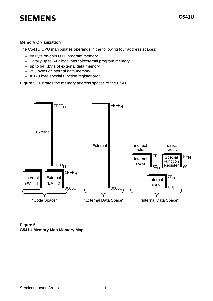#### **Memory Organization**

The C541U CPU manipulates operands in the following four address spaces:

- 8KByte on-chip OTP program memory
- Totally up to 64 Kbyte internal/external program memory
- up to 64 Kbyte of external data memory
- 256 bytes of internal data memory
- a 128 byte special function register area

**Figure 5** illustrates the memory address spaces of the C541U.



**Figure 5 C541U Memory Map Memory Map**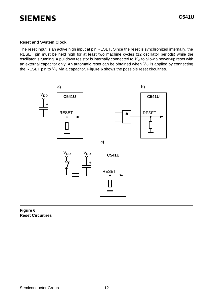#### **Reset and System Clock**

The reset input is an active high input at pin RESET. Since the reset is synchronized internally, the RESET pin must be held high for at least two machine cycles (12 oscillator periods) while the oscillator is running. A pulldown resistor is internally connected to  $V_{\rm ss}$  to allow a power-up reset with an external capacitor only. An automatic reset can be obtained when  $V_{DD}$  is applied by connecting the RESET pin to  $V_{DD}$  via a capacitor. Figure 6 shows the possible reset circuitries.



**Figure 6 Reset Circuitries**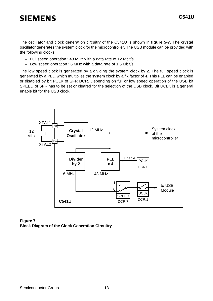The oscillator and clock generation circuitry of the C541U is shown in **figure 5-7**. The crystal oscillator generates the system clock for the microcontroller. The USB module can be provided with the following clocks :

- Full speed operation : 48 MHz with a data rate of 12 Mbit/s
- Low speed operation : 6 MHz with a data rate of 1.5 Mbit/s

The low speed clock is generated by a dividing the system clock by 2. The full speed clock is generated by a PLL, which multiplies the system clock by a fix factor of 4. This PLL can be enabled or disabled by bit PCLK of SFR DCR. Depending on full or low speed operation of the USB bit SPEED of SFR has to be set or cleared for the selection of the USB clock. Bit UCLK is a general enable bit for the USB clock.



**Figure 7 Block Diagram of the Clock Generation Circuitry**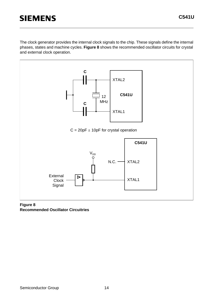The clock generator provides the internal clock signals to the chip. These signals define the internal phases, states and machine cycles. **Figure 8** shows the recommended oscillator circuits for crystal and external clock operation.



#### **Figure 8 Recommended Oscillator Circuitries**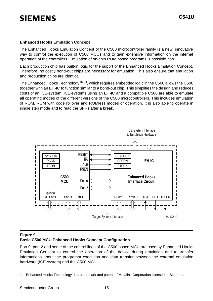#### **Enhanced Hooks Emulation Concept**

The Enhanced Hooks Emulation Concept of the C500 microcontroller family is a new, innovative way to control the execution of C500 MCUs and to gain extensive information on the internal operation of the controllers. Emulation of on-chip ROM based programs is possible, too.

Each production chip has built-in logic for the supprt of the Enhanced Hooks Emulation Concept. Therefore, no costly bond-out chips are necessary for emulation. This also ensure that emulation and production chips are identical.

The Enhanced Hooks Technology<sup>TM 1)</sup>, which requires embedded logic in the C500 allows the C500 together with an EH-IC to function similar to a bond-out chip. This simplifies the design and reduces costs of an ICE-system. ICE-systems using an EH-IC and a compatible C500 are able to emulate all operating modes of the different versions of the C500 microcontrollers. This includes emulation of ROM, ROM with code rollover and ROMless modes of operation. It is also able to operate in single step mode and to read the SFRs after a break.



#### **Figure 9 Basic C500 MCU Enhanced Hooks Concept Configuration**

Port 0, port 2 and some of the control lines of the C500 based MCU are used by Enhanced Hooks Emulation Concept to control the operation of the device during emulation and to transfer informations about the programm execution and data transfer between the external emulation hardware (ICE-system) and the C500 MCU.

<sup>1</sup> "Enhanced Hooks Technology" is a trademark and patent of Metalink Corporation licensed to Siemens.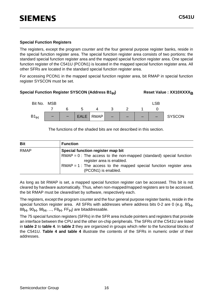#### **Special Function Registers**

The registers, except the program counter and the four general purpose register banks, reside in the special function register area. The special function register area consists of two portions: the standard special function register area and the mapped special function register area. One special function register of the C541U (PCON1) is located in the mapped special function register area. All other SFRs are located in the standard special function register area.

For accessing PCON1 in the mapped special function register area, bit RMAP in special function register SYSCON must be set.

#### Special Function Register SYSCON (Address B1<sub>H</sub>) Reset Value : XX10XXXX<sub>R</sub>



The functions of the shaded bits are not described in this section.

| <b>Bit</b>  | <b>Function</b>                                                                                    |
|-------------|----------------------------------------------------------------------------------------------------|
| <b>RMAP</b> | Special function register map bit                                                                  |
|             | $RMAP = 0$ : The access to the non-mapped (standard) special function<br>register area is enabled. |
|             | $RMAP = 1$ : The access to the mapped special function register area<br>(PCON1) is enabled.        |

As long as bit RMAP is set, a mapped special function register can be accessed. This bit is not cleared by hardware automatically. Thus, when non-mapped/mapped registers are to be accessed, the bit RMAP must be cleared/set by software, respectively each.

The registers, except the program counter and the four general purpose register banks, reside in the special function register area. All SFRs with addresses where address bits 0-2 are 0 (e.g.  $80<sub>H</sub>$ ,  $88H, 90H, 98H, ..., F8H, FFH$ ) are bitaddressable.

The 75 special function registers (SFRs) in the SFR area include pointers and registers that provide an interface between the CPU and the other on-chip peripherals. The SFRs of the C541U are listed in **table 2** to **table 4**. In **table 2** they are organized in groups which refer to the functional blocks of the C541U. **Table 4 and table 4** illustrate the contents of the SFRs in numeric order of their addresses.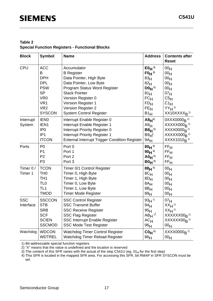#### **Table 2 Special Function Registers - Functional Blocks**

| <b>Block</b> | <b>Symbol</b>    | <b>Name</b>                                          | <b>Address</b>                      | <b>Contents after</b><br><b>Reset</b>  |
|--------------|------------------|------------------------------------------------------|-------------------------------------|----------------------------------------|
| CPU          | <b>ACC</b><br>B  | Accumulator                                          | $E0_{H}$ <sup>1)</sup><br>$F0H^{1}$ | 00 <sub>H</sub>                        |
|              | <b>DPH</b>       | <b>B</b> Register<br>Data Pointer, High Byte         |                                     | 00 <sub>H</sub>                        |
|              | <b>DPL</b>       | Data Pointer, Low Byte                               | 83 <sub>H</sub><br>82 <sub>H</sub>  | 00 <sub>H</sub><br>00 <sub>H</sub>     |
|              | <b>PSW</b>       | Program Status Word Register                         | $D0_H$ <sup>1)</sup>                | 00 <sub>H</sub>                        |
|              | <b>SP</b>        | <b>Stack Pointer</b>                                 | 81 <sub>H</sub>                     | 07 <sub>H</sub>                        |
|              | VR <sub>0</sub>  | Version Register 0                                   | FCH                                 | C5H                                    |
|              | VR <sub>1</sub>  | Version Register 1                                   | FD <sub>H</sub>                     | $C1_H$                                 |
|              | VR <sub>2</sub>  | Version Register 2                                   | FE <sub>H</sub>                     | $YY_H$ <sup>3)</sup>                   |
|              | <b>SYSCON</b>    | <b>System Control Register</b>                       | $B1_H$                              | $XX10XXXX_B$ <sup>2)</sup>             |
| Interrupt    | <b>IENO</b>      | Interrupt Enable Register 0                          | $A8H^{(1)}$                         | $0$ XXX0000 <sub>R</sub> <sup>2)</sup> |
| System       | IEN <sub>1</sub> | Interrupt Enable Register 1                          | A9H                                 | $XXXX000_B$ <sup>2)</sup>              |
|              | IP <sub>0</sub>  | Interrupt Priority Register 0                        | $B8H^{1}$                           | $XXXX0000_B$ <sup>2)</sup>             |
|              | IP <sub>1</sub>  | Interrupt Priority Register 1                        | B9H                                 | $XXXX000R$ <sup>2)</sup>               |
|              | <b>ITCON</b>     | <b>External Interrupt Trigger Condition Register</b> | $9A_H$                              | XXXX1010 <sub>B<sup>2)</sup></sub>     |
| Ports        | P <sub>0</sub>   | Port 0                                               | $80H^{1}$                           | FF <sub>H</sub>                        |
|              | P <sub>1</sub>   | Port 1                                               | $90H^{1}$                           | FF <sub>H</sub>                        |
|              | P <sub>2</sub>   | Port 2                                               | $AD_{H}$ <sup>1)</sup>              | $\mathsf{FF}_\mathsf{H}$               |
|              | P <sub>3</sub>   | Port 3                                               | $B0H^{1}$                           | FF <sub>H</sub>                        |
| Timer 0 /    | <b>TCON</b>      | Timer 0/1 Control Register                           | $88H^{1}$                           | 00 <sub>H</sub>                        |
| Timer 1      | TH <sub>0</sub>  | Timer 0, High Byte                                   | 8C <sub>H</sub>                     | 00 <sub>H</sub>                        |
|              | TH <sub>1</sub>  | Timer 1, High Byte                                   | $8D_H$                              | 00 <sub>H</sub>                        |
|              | TL <sub>0</sub>  | Timer 0, Low Byte                                    | $8A_H$                              | 00 <sub>H</sub>                        |
|              | TL <sub>1</sub>  | Timer 1, Low Byte                                    | 8B <sub>H</sub>                     | 00 <sub>H</sub>                        |
|              | <b>TMOD</b>      | <b>Timer Mode Register</b>                           | 89 <sub>H</sub>                     | 00 <sub>H</sub>                        |
| <b>SSC</b>   | <b>SSCCON</b>    | <b>SSC Control Register</b>                          | $93H^{1}$                           | 07 <sub>H</sub>                        |
| Interface    | <b>STB</b>       | <b>SSC Transmit Buffer</b>                           | 94 <sub>H</sub>                     | $XXH^{2}$                              |
|              | <b>SRB</b>       | <b>SSC Receive Register</b>                          | 95 <sub>H</sub>                     | $XX_H$ <sup>2)</sup>                   |
|              | <b>SCF</b>       | <b>SSC Flag Register</b>                             | $AB_{H}$ <sup>1)</sup>              | $XXXXX00R$ <sup>2)</sup>               |
|              | <b>SCIEN</b>     | <b>SSC Interrupt Enable Register</b>                 | $AC_{H}$                            | $XXXXX00R$ <sup>2)</sup>               |
|              | <b>SSCMOD</b>    | <b>SSC Mode Test Register</b>                        | 96 <sub>H</sub>                     | 00 <sub>H</sub>                        |
| Watchdog     | <b>WDCON</b>     | <b>Watchdog Timer Control Register</b>               | $COH$ <sup>1)</sup>                 | $XXX0000R$ <sup>2)</sup>               |
|              | <b>WDTREL</b>    | Watchdog Timer Reload Register                       | 86 <sub>H</sub>                     | 00 <sub>H</sub>                        |

1) Bit-addressable special function registers

2) "X" means that the value is undefined and the location is reserved

 $3)$  The content of this SFR varies with the actual of the step C541U (eg. 01 $_H$  for the first step)

4) This SFR is located in the mapped SFR area. For accessing this SFR, bit RMAP in SFR SYSCON must be set.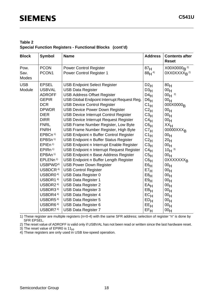#### **Table 2 Special Function Registers - Functional Blocks (cont'd)**

| <b>Block</b>  | Symbol               | <b>Name</b>                                  | <b>Address</b>  | <b>Contents after</b><br><b>Reset</b> |
|---------------|----------------------|----------------------------------------------|-----------------|---------------------------------------|
| Pow.          | <b>PCON</b>          | <b>Power Control Register</b>                | 87 <sub>H</sub> | $X00X0000_R$ <sup>2)</sup>            |
| Sav.<br>Modes | PCON1                | <b>Power Control Register 1</b>              | $88H^{4}$       | 0XX0XXXX <sub>R</sub> <sup>2)</sup>   |
| <b>USB</b>    | <b>EPSEL</b>         | <b>USB Endpoint Select Register</b>          | D2H             | 80 <sub>H</sub>                       |
| Module        | <b>USBVAL</b>        | <b>USB Data Register</b>                     | D3H             | 00 <sub>H</sub>                       |
|               | <b>ADROFF</b>        | <b>USB Address Offset Register</b>           | $D4_H$          | $00_H$ <sup>2)</sup>                  |
|               | <b>GEPIR</b>         | USB Global Endpoint Interrupt Request Reg.   | D6H             | 00 <sub>H</sub>                       |
|               | <b>DCR</b>           | <b>USB Device Control Register</b>           | $C1_H$          | 000X0000 <sub>R</sub>                 |
|               | <b>DPWDR</b>         | <b>USB Device Power Down Register</b>        | C2 <sub>H</sub> | 00 <sub>H</sub>                       |
|               | <b>DIER</b>          | <b>USB Device Interrupt Control Register</b> | C3 <sub>H</sub> | 00 <sub>H</sub>                       |
|               | <b>DIRR</b>          | <b>USB Device Interrupt Request Register</b> | C4H             | 00 <sub>H</sub>                       |
|               | <b>FNRL</b>          | <b>USB Frame Number Register, Low Byte</b>   | C6H             | XX <sub>H</sub>                       |
|               | <b>FNRH</b>          | USB Frame Number Register, High Byte         | C7 <sub>H</sub> | 00000XXX <sub>B</sub>                 |
|               | EPBCn <sup>1)</sup>  | USB Endpoint n Buffer Control Register       | $C1_H$          | 00 <sub>H</sub>                       |
|               | EPBSn <sup>1)</sup>  | <b>USB Endpoint n Buffer Status Register</b> | $C2_H$          | 20 <sub>H</sub>                       |
|               | EPIEn <sup>1</sup>   | USB Endpoint n Interrupt Enable Register     | C3 <sub>H</sub> | 00 <sub>H</sub>                       |
|               | EPIRn <sup>1)</sup>  | USB Endpoint n Interrupt Request Register    | $C4_H$          | $10H^{3}$                             |
|               | EPBAn <sup>1)</sup>  | USB Endpoint n Base Address Register         | C5 <sub>H</sub> | 00 <sub>H</sub>                       |
|               | EPLENn <sup>1)</sup> | USB Endpoint n Buffer Length Register        | C6 <sub>H</sub> | 0XXXXXXX <sub>R</sub>                 |
|               | USBPWD <sup>4)</sup> | <b>USB Power Down Register</b>               | E6H             | 00 <sub>H</sub>                       |
|               | USBDCR <sup>4)</sup> | <b>USB Control Register</b>                  | E7 <sub>H</sub> | 00 <sub>H</sub>                       |
|               | USBDR0 <sup>4)</sup> | USB Data Register 0                          | E8H             | 00 <sub>H</sub>                       |
|               | USBDR1 <sup>4)</sup> | <b>USB Data Register 1</b>                   | E9H             | 00 <sub>H</sub>                       |
|               | USBDR2 <sup>4)</sup> | <b>USB Data Register 2</b>                   | $EA$ H          | 00 <sub>H</sub>                       |
|               | USBDR3 <sup>4)</sup> | <b>USB Data Register 3</b>                   | $EB$ H          | 00 <sub>H</sub>                       |
|               | USBDR4 <sup>4)</sup> | <b>USB Data Register 4</b>                   | EC <sub>H</sub> | 00 <sub>H</sub>                       |
|               | USBDR5 <sup>4)</sup> | <b>USB Data Register 5</b>                   | ED <sub>H</sub> | 00 <sub>H</sub>                       |
|               | USBDR6 <sup>4)</sup> | <b>USB Data Register 6</b>                   | EEH             | 00 <sub>H</sub>                       |
|               | USBDR7 <sup>4)</sup> | <b>USB Data Register 7</b>                   | $EF_H$          | 00 <sub>H</sub>                       |

1) These register are multiple registers (n=0-4) with the same SFR address; selection of register "n" is done by SFR EPSEL.

2) The reset value of ADROFF is valid only if USBVAL has not been read or written since the last hardware reset.

3) The reset value of EPIR0 is  $11_{H}$ .

4) These registers are only used in USB low-speed operation.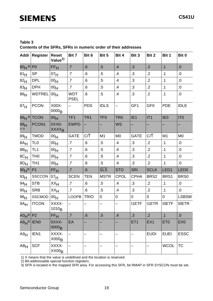**Contents of the SFRs, SFRs in numeric order of their addresses** 

|                                  | Addr Register            | <b>Reset</b><br>Value <sup>1)</sup> | Bit 7                     | Bit 6            | Bit 5                   | Bit 4                    | Bit 3            | Bit 2           | Bit 1           | Bit 0            |
|----------------------------------|--------------------------|-------------------------------------|---------------------------|------------------|-------------------------|--------------------------|------------------|-----------------|-----------------|------------------|
| 80 <sub>H</sub> <sup>2)</sup> P0 |                          | FF <sub>H</sub>                     | .7                        | .6               | $.5\,$                  | .4                       | .3               | $\overline{.2}$ | .1              | .0               |
| 81 <sub>H</sub>                  | <b>SP</b>                | 07 <sub>H</sub>                     | $\overline{.7}$           | 6.5              | $.5\,$                  | .4                       | .3               | $\overline{2}$  | .1              | $.0$             |
| 82 <sub>H</sub>                  | <b>DPL</b>               | 00 <sub>H</sub>                     | .7                        | 6.               | $.5\,$                  | .4                       | $\cdot$ 3        | $\overline{2}$  | .1              | $.0$             |
| 83 <sub>H</sub>                  | <b>DPH</b>               | 00 <sub>H</sub>                     | .7                        | 6.5              | $.5\,$                  | .4                       | $\cdot$ 3        | $\cdot$ .2      | .1              | $0.5$            |
| 86 <sub>H</sub>                  | <b>WDTREL</b>            | 00 <sub>H</sub>                     | <b>WDT</b><br><b>PSEL</b> | 6.5              | $.5\,$                  | .4                       | $\cdot$ 3        | $\overline{2}$  | .1              | $0.5\,$          |
| 87 <sub>H</sub>                  | <b>PCON</b>              | X00X-<br>0000 <sub>B</sub>          |                           | <b>PDS</b>       | <b>IDLS</b>             | $\overline{\phantom{0}}$ | GF1              | GF <sub>0</sub> | <b>PDE</b>      | <b>IDLE</b>      |
|                                  | $88H$ <sup>2)</sup> TCON | 00 <sub>H</sub>                     | TF <sub>1</sub>           | TR <sub>1</sub>  | TF <sub>0</sub>         | TR <sub>0</sub>          | IE <sub>1</sub>  | IT1             | IE <sub>0</sub> | IT <sub>0</sub>  |
| 88 <sub>H</sub><br>$2)$ 3)       | PCON1                    | OXXO-<br><b>XXXX<sub>B</sub></b>    | <b>EWPD</b>               |                  |                         | <b>WS</b>                |                  |                 |                 |                  |
| 89 <sub>H</sub>                  | <b>TMOD</b>              | 00 <sub>H</sub>                     | <b>GATE</b>               | $C/\overline{T}$ | M1                      | M <sub>0</sub>           | <b>GATE</b>      | C/T             | M1              | M <sub>0</sub>   |
| $8A_H$                           | TL <sub>0</sub>          | 00 <sub>H</sub>                     | .7                        | 6.5              | $.5\,$                  | .4                       | $\cdot$ 3        | $\overline{2}$  | .1              | .0               |
| $8B_H$                           | TL <sub>1</sub>          | 00 <sub>H</sub>                     | .7                        | 6.5              | $.5\,$                  | .4                       | $\cdot$ 3        | $\overline{2}$  | .1              | 0.               |
| $8C_H$                           | TH <sub>0</sub>          | 00 <sub>H</sub>                     | $\overline{\mathbf{z}}$   | 6.5              | $.5\,$                  | .4                       | $\cdot$ 3        | $\overline{2}$  | .1              | 0.               |
| $8D_H$                           | TH <sub>1</sub>          | 00 <sub>H</sub>                     | .7                        | .6               | $.5\,$                  | .4                       | $\cdot$ 3        | $\cdot$ .2      | .1              | .0               |
| $90H^{2}$                        | P <sub>1</sub>           | FF <sub>H</sub>                     | .7                        | .6               | $\overline{\text{SLS}}$ | <b>STO</b>               | <b>SRI</b>       | <b>SCLK</b>     | LED1            | LED <sub>0</sub> |
| 93 <sub>H</sub>                  | <b>SSCCON</b>            | 07 <sub>H</sub>                     | <b>SCEN</b>               | <b>TEN</b>       | <b>MSTR</b>             | <b>CPOL</b>              | <b>CPHA</b>      | BRS2            | BRS1            | BRS0             |
| 94H                              | <b>STB</b>               | $XX_{H}$                            | .7                        | 6.5              | $.5\,$                  | .4                       | $\cdot$ 3        | $\overline{.2}$ | .1              | $0.5$            |
| 95 <sub>H</sub>                  | <b>SRB</b>               | XX <sub>H</sub>                     | .7                        | 6.5              | $.5\,$                  | .4                       | $\cdot$ 3        | $\overline{2}$  | .1              | 0.               |
| 96 <sub>H</sub>                  | <b>SSCMOD</b>            | 00 <sub>H</sub>                     | <b>LOOPB</b>              | <b>TRIO</b>      | $\pmb{0}$               | $\pmb{0}$                | $\boldsymbol{0}$ | 0               | $\pmb{0}$       | <b>LSBSM</b>     |
| 9A <sub>H</sub>                  | <b>ITCON</b>             | XXXX-<br>1010 <sub>B</sub>          |                           |                  |                         | —                        | <b>I1ETF</b>     | <b>I1ETR</b>    | <b>IOETF</b>    | <b>IOETR</b>     |
| A0 $H^{2)}$ P2                   |                          | FF <sub>H</sub>                     | .7                        | .6               | $.5\,$                  | .4                       | $\cdot$ 3        | $\cdot$ .2      | .1              | $\cdot 0$        |
| $ABH^{2)}$ IENO                  |                          | OXXX-<br>0000 <sub>B</sub>          | EA                        |                  |                         |                          | ET <sub>1</sub>  | EX1             | ET <sub>0</sub> | EX <sub>0</sub>  |
| A9H                              | IEN1                     | XXXX-<br>X000 <sub>B</sub>          |                           |                  |                         |                          | —                | <b>EUDI</b>     | <b>EUEI</b>     | <b>ESSC</b>      |
| $AB_H$                           | <b>SCF</b>               | XXXX-<br>$XX00_B$                   |                           |                  |                         |                          | —                |                 | <b>WCOL</b>     | <b>TC</b>        |

1) X means that the value is undefined and the location is reserved

2) Bit-addressable special function registers

3) SFR is located in the mapped SFR area. For accessing this SFR, bit RMAP in SFR SYSCON must be set.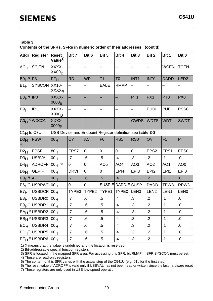**Contents of the SFRs, SFRs in numeric order of their addresses (cont'd)** 

| <b>Addr</b>           | <b>Register</b>                              | <b>Reset</b><br>Value <sup>1)</sup> | Bit 7                                                     | Bit 6          | Bit 5           | Bit 4              | Bit 3            | Bit 2            | Bit 1           | Bit 0            |  |  |  |
|-----------------------|----------------------------------------------|-------------------------------------|-----------------------------------------------------------|----------------|-----------------|--------------------|------------------|------------------|-----------------|------------------|--|--|--|
| AC <sub>H</sub>       | <b>SCIEN</b>                                 | XXXX-<br>$XX00_B$                   |                                                           |                |                 |                    |                  |                  | <b>WCEN</b>     | <b>TCEN</b>      |  |  |  |
| $B0H^{2}$ P3          |                                              | FF <sub>H</sub>                     | <b>RD</b>                                                 | <b>WR</b>      | T1              | T <sub>0</sub>     | INT <sub>1</sub> | <b>INTO</b>      | <b>DADD</b>     | LED <sub>2</sub> |  |  |  |
| B1H                   | <b>SYSCON</b>                                | XX10-<br><b>XXXX<sub>B</sub></b>    |                                                           |                | <b>EALE</b>     | <b>RMAP</b>        | —                |                  |                 |                  |  |  |  |
| $B8H^{2)}$  IP0       |                                              | XXXX-<br>0000 <sub>B</sub>          |                                                           |                |                 |                    | PT <sub>1</sub>  | PX1              | PT <sub>0</sub> | PX <sub>0</sub>  |  |  |  |
| B9H                   | IP <sub>1</sub>                              | XXXX-<br>X000 <sub>B</sub>          |                                                           |                |                 |                    |                  | <b>PUDI</b>      | <b>PUEI</b>     | <b>PSSC</b>      |  |  |  |
|                       | $COH$ <sup>2)</sup> WDCON                    | XXXX-<br>0000 <sub>B</sub>          |                                                           |                |                 |                    | <b>OWDS</b>      | <b>WDTS</b>      | <b>WDT</b>      | <b>SWDT</b>      |  |  |  |
| $C1_H$ to $C7_H$      |                                              |                                     | USB Device and Endpoint Register definition see table 3-3 |                |                 |                    |                  |                  |                 |                  |  |  |  |
| D0 <sub>H</sub><br>2) | <b>PSW</b>                                   | 00 <sub>H</sub>                     | <b>CY</b>                                                 | <b>AC</b>      | F <sub>0</sub>  | RS <sub>1</sub>    | RS <sub>0</sub>  | OV               | F <sub>1</sub>  | P                |  |  |  |
| $D2_H$                | <b>EPSEL</b>                                 | 80 <sub>H</sub>                     | EPS7                                                      | $\overline{0}$ | $\mathsf 0$     | 0                  | $\overline{0}$   | EPS <sub>2</sub> | EPS1            | EPS <sub>0</sub> |  |  |  |
| D3H                   | <b>USBVAL</b>                                | 00 <sub>H</sub>                     | $\overline{.7}$                                           | .6             | $.5\,$          | $\mathbf{.4}$      | .3               | $\overline{2}$   | .1              | 0.               |  |  |  |
| $D4_H$                | <b>ADROFF</b>                                | $00H$ <sup>6)</sup>                 | 0                                                         | 0              | AO <sub>5</sub> | AO <sub>4</sub>    | AO <sub>3</sub>  | AO <sub>2</sub>  | AO1             | AO <sub>0</sub>  |  |  |  |
| D6H                   | <b>GEPIR</b>                                 | 00 <sub>H</sub>                     | <b>DRVI</b>                                               | $\overline{0}$ | 0               | EPI4               | EPI3             | EPI <sub>2</sub> | EPI1            | EPI <sub>0</sub> |  |  |  |
| $E0H^{2)}$ ACC        |                                              | 00 <sub>H</sub>                     | .7                                                        | .6             | .5              | .4                 | .3               | $\cdot$ .2       | .1              | 0.               |  |  |  |
|                       | $E6H^{7}$ USBPWD 00H                         |                                     | 0                                                         | 0              |                 | SUSPIE DADDIE SUSP |                  | <b>DADD</b>      | <b>TPWD</b>     | <b>RPWD</b>      |  |  |  |
|                       | $E7H^{7}$ USBDCR                             | 00 <sub>H</sub>                     | TYPE3                                                     | TYPE2          | TYPE1           | TYPE0              | LEN <sub>3</sub> | LEN <sub>2</sub> | LEN1            | <b>LEN0</b>      |  |  |  |
|                       | $E8_H$ <sup>7</sup> USBDR0                   | 00 <sub>H</sub>                     | $\overline{.7}$                                           | .6             | $.5\,$          | .4                 | .3               | $\overline{2}$   | $\cdot$ 1       | $0.5$            |  |  |  |
|                       | E9H <sup>7</sup> USBDR1                      | 00 <sub>H</sub>                     | .7                                                        | 6.             | $.5\,$          | $\cdot$            | .3               | $\cdot$          | $\cdot$ 1       | .0               |  |  |  |
|                       | $EA_H$ <sup>7</sup> USBDR2 00 <sub>H</sub>   |                                     | $\overline{\mathcal{L}}$                                  | $\overline{6}$ | $.5\,$          | $\overline{.4}$    | $\overline{3}$   | $\overline{2}$   | $\cdot$ 1       | $.0\,$           |  |  |  |
|                       | $EB_H$ <sup>7</sup> USBDR3 00 <sub>H</sub>   |                                     | $\cdot$                                                   | 6.6            | $.5\,$          | $\cdot$            | .3               | $.2\,$           | $\cdot$ 1       | $\cdot 0$        |  |  |  |
|                       | $EC_{H}$ <sup>7</sup> USBDR4 00 <sub>H</sub> |                                     | $\cdot$                                                   | 6.6            | .5              | $\cdot$            | $\cdot$ 3        | $\cdot$ .2       | $\cdot$ 1       | 0.               |  |  |  |
|                       | $ED_{H}$ <sup>7</sup> USBDR5 00 <sub>H</sub> |                                     | $\cdot$                                                   | 6.5            | $.5\,$          | $\cdot$            | $\cdot$ 3        | $\cdot$          | $\cdot$ 1       | 0.               |  |  |  |
|                       | $EE_H$ <sup>7</sup> USBDR6 00 <sub>H</sub>   |                                     | $\overline{\mathcal{L}}$                                  | .6             | $.5\,$          | $\cdot$            | $\cdot$ 3        | $\cdot$          | $\cdot$ 1       | $\cdot 0$        |  |  |  |

1) X means that the value is undefined and the location is reserved

2) Bit-addressable special function registers

3) SFR is located in the mapped SFR area. For accessing this SFR, bit RMAP in SFR SYSCON must be set.

4) These are read-only registers

 $5)$  The content of this SFR varies with the actual step of the C541U (e.g. 01<sub>H</sub> for the first step)

6) The reset value of ADROFF is valid only if USBVAL has not been read or written since the last hardware reset

7) These registers are only used in USB low-speed operation.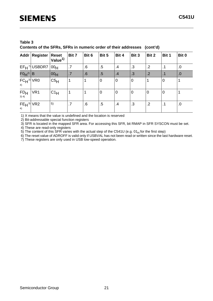**Contents of the SFRs, SFRs in numeric order of their addresses (cont'd)** 

|                            | Addr   Register            | <b>Reset</b><br>Value <sup>1)</sup> | Bit 7 | Bit 6 | Bit 5          | Bit 4          | Bit 3          | Bit 2           | Bit 1          | Bit 0      |
|----------------------------|----------------------------|-------------------------------------|-------|-------|----------------|----------------|----------------|-----------------|----------------|------------|
|                            | $EF_H$ <sup>7</sup> USBDR7 | 00 <sub>H</sub>                     | .7    | .6    | .5             | $\cdot$        | .3             | $.2\phantom{0}$ | .1             | 0.         |
| $F0H^{2)}$ B               |                            | $ 00_H$                             | .7    | .6    | .5             | .4             | .3             | .2              | $\cdot$ 1      | .0         |
| $FCH^{3}$ VR0<br>4)        |                            | C5H                                 |       |       | $\overline{0}$ | $\overline{0}$ | $\overline{0}$ |                 | l0             |            |
| FD <sub>H</sub><br>$3)$ 4) | VR <sub>1</sub>            | $C1_H$                              |       |       | 0              | $\overline{0}$ | $\mathbf 0$    | 10              | $\overline{0}$ |            |
| $FEH^{3}$ VR2<br>4)        |                            | 5)                                  | .7    | .6    | $.5\,$         | $\cdot$        | .3             | $\cdot$ .2      |                | $\cdot$ .0 |

1) X means that the value is undefined and the location is reserved

2) Bit-addressable special function registers

3) SFR is located in the mapped SFR area. For accessing this SFR, bit RMAP in SFR SYSCON must be set.

4) These are read-only registers

5) The content of this SFR varies with the actual step of the C541U (e.g.  $01_H$  for the first step)

6) The reset value of ADROFF is valid only if USBVAL has not been read or written since the last hardware reset.

7) These registers are only used in USB low-speed operation.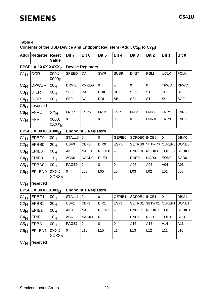# **Table 4 Contents of the USB Device and Endpoint Registers (Addr. C1H to C7H)**

|                 | Addr Register                     | Reset<br><b>Value</b>            | Bit 7            | Bit 6                       | Bit 5            | Bit 4            | Bit 3            | Bit 2              | Bit 1            | Bit 0            |
|-----------------|-----------------------------------|----------------------------------|------------------|-----------------------------|------------------|------------------|------------------|--------------------|------------------|------------------|
|                 | EPSEL = $1XXX.XXXXB$              |                                  |                  | <b>Device Registers</b>     |                  |                  |                  |                    |                  |                  |
| $C1_H$          | <b>DCR</b>                        | 000X.<br>0000 <sub>B</sub>       | <b>SPEED</b>     | DA                          | <b>SWR</b>       | <b>SUSP</b>      | <b>DINIT</b>     | <b>RSM</b>         | <b>UCLK</b>      | <b>PCLK</b>      |
| $C2_H$          | <b>DPWDR</b>                      | 00 <sub>H</sub>                  | <b>DRVIE</b>     | <b>XVREG</b>                | $\mathbf 0$      | $\mathbf 0$      | 0                | $\mathbf 0$        | <b>TPWD</b>      | <b>RPWD</b>      |
| $C_3H$          | <b>DIER</b>                       | 00 <sub>H</sub>                  | <b>SE0IE</b>     | <b>DAIE</b>                 | <b>DDIE</b>      | <b>SBIE</b>      | <b>SEIE</b>      | <b>STIE</b>        | <b>SUIE</b>      | <b>SOFIE</b>     |
| $C4_H$          | <b>DIRR</b>                       | 00 <sub>H</sub>                  | <b>SE0I</b>      | DAI                         | <b>DDI</b>       | <b>SBI</b>       | <b>SEI</b>       | STI                | SUI              | <b>SOFI</b>      |
| C5 <sub>H</sub> | reserved                          |                                  |                  |                             |                  |                  |                  |                    |                  |                  |
| $C6_H$          | <b>FNRL</b>                       | XX <sub>H</sub>                  | FNR7             | FNR6                        | FNR <sub>5</sub> | FNR4             | FNR <sub>3</sub> | FNR <sub>2</sub>   | FNR1             | FNR <sub>0</sub> |
| C7 <sub>H</sub> | <b>FNRH</b>                       | 0000.<br>0XXX <sub>B</sub>       | $\mathbf 0$      | 0                           | 0                | $\mathbf 0$      | 0                | <b>FNR10</b>       | FNR9             | FNR8             |
|                 | $EPSEL = 0XXX.X000B$              |                                  |                  | <b>Endpoint 0 Registers</b> |                  |                  |                  |                    |                  |                  |
| $C1_H$          | EPBC0                             | 00 <sub>H</sub>                  | <b>STALL0</b>    | $\overline{0}$              | $\mathbf 0$      | <b>GEPIE0</b>    | SOFDE0   INCE0   |                    | $\mathbf 0$      | DBM0             |
| $C2_H$          | EPBS0                             | 20 <sub>H</sub>                  | UBF <sub>0</sub> | CBF <sub>0</sub>            | DIR <sub>0</sub> | ESP <sub>0</sub> |                  | SETRD0 SETWR0      | CLREP0 DONE0     |                  |
| $C_{}^{3}H$     | EPIE0                             | 00 <sub>H</sub>                  | AIE0             | NAIE0                       | <b>RLEIE0</b>    | —                | <b>DNRIE0</b>    | NODIE <sub>0</sub> | <b>EODIE0</b>    | <b>SODIE0</b>    |
| C4H             | EPIR <sub>0</sub>                 | 11 <sub>H</sub>                  | ACK0             | NACK0                       | RLE <sub>0</sub> | —                | DNR <sub>0</sub> | NOD <sub>0</sub>   | EOD <sub>0</sub> | SOD <sub>0</sub> |
| C5 <sub>H</sub> | EPBA0                             | 00 <sub>H</sub>                  | PAGE0            | $\mathbf 0$                 | 0                | $\pmb{0}$        | A06              | A05                | A04              | A03              |
| C6H             | <b>EPLENO</b>                     | OXXX.<br><b>XXXX<sub>R</sub></b> | $\pmb{0}$        | L06                         | L <sub>05</sub>  | L <sub>04</sub>  | L <sub>03</sub>  | L <sub>02</sub>    | L <sub>01</sub>  | L <sub>00</sub>  |
| C7 <sub>H</sub> | reserved                          |                                  |                  |                             |                  |                  |                  |                    |                  |                  |
|                 | EPSEL = $0$ XXX.X001 <sub>B</sub> |                                  |                  | <b>Endpoint 1 Registers</b> |                  |                  |                  |                    |                  |                  |
| $C1_H$          | EPBC1                             | 00 <sub>H</sub>                  | STALL1           | $\pmb{0}$                   | 0                | GEPIE1           | SOFDE1   INCE1   |                    | $\pmb{0}$        | DBM1             |
| $C2_H$          | EPBS1                             | 20 <sub>H</sub>                  | UBF1             | CBF1                        | DIR1             | ESP1             | SETRD1           | SETWR1             | CLREP1           | DONE1            |
| $C3_{H}$        | EPIE <sub>1</sub>                 | 00 <sub>H</sub>                  | AIE1             | NAIE1                       | RLEIE1           |                  | DNRIE1           | NODIE1 EODIE1      |                  | SODIE1           |
| $C4_H$          | EPIR1                             | 10 <sub>H</sub>                  | ACK1             | NACK1                       | RLE1             |                  | DNR1             | NOD <sub>1</sub>   | EOD1             | SOD <sub>1</sub> |
| C5H             | EPBA1                             | 00 <sub>H</sub>                  | PAGE1            | 0                           | 0                | $\mathsf 0$      | A16              | A15                | A14              | A13              |
| C6 <sub>H</sub> | EPLEN1                            | OXXX.<br><b>XXXX<sub>B</sub></b> | $\mathbf 0$      | L16                         | L15              | L14              | L13              | L12                | L11              | L10              |
| C7 <sub>H</sub> | reserved                          |                                  |                  |                             |                  |                  |                  |                    |                  |                  |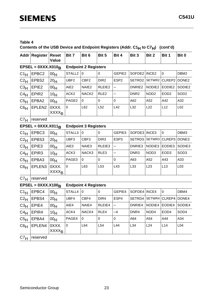# **Contents of the USB Device and Endpoint Registers (Addr. C1H to C7H) (cont'd)**

|                 | Addr Register                     | <b>Reset</b><br>Value            | Bit 7            | Bit 6                       | Bit 5            | Bit 4                    | Bit 3              | Bit 2              | Bit 1                    | Bit 0              |
|-----------------|-----------------------------------|----------------------------------|------------------|-----------------------------|------------------|--------------------------|--------------------|--------------------|--------------------------|--------------------|
|                 | $EPSEL = 0XXX.X010R$              |                                  |                  | <b>Endpoint 2 Registers</b> |                  |                          |                    |                    |                          |                    |
| $C1_H$          | EPBC <sub>2</sub>                 | 00 <sub>H</sub>                  | STALL2           | 0                           | 0                | GEPIE2                   | SOFDE2   INCE2     |                    | $\mathbf 0$              | DBM <sub>2</sub>   |
| $C2_H$          | EPBS2                             | 20 <sub>H</sub>                  | UBF2             | CBF <sub>2</sub>            | DIR <sub>2</sub> | ESP <sub>2</sub>         | SETRD2             | SETWR2             | CLREP2                   | DONE <sub>2</sub>  |
| $C_{}^{3}H$     | EPIE <sub>2</sub>                 | 00 <sub>H</sub>                  | AIE <sub>2</sub> | NAIE <sub>2</sub>           | RLEIE2           | $\overline{\phantom{0}}$ | DNRIE <sub>2</sub> | NODIE <sub>2</sub> | EODIE <sub>2</sub>       | SODIE <sub>2</sub> |
| C4H             | EPIR <sub>2</sub>                 | 10 <sub>H</sub>                  | ACK <sub>2</sub> | NACK <sub>2</sub>           | RLE <sub>2</sub> |                          | DNR <sub>2</sub>   | NOD <sub>2</sub>   | EOD <sub>2</sub>         | SOD <sub>2</sub>   |
| $C5_H$          | EPBA2                             | 00 <sub>H</sub>                  | PAGE2            | 0                           | 0                | $\pmb{0}$                | A62                | A52                | A42                      | A32                |
| C6 <sub>H</sub> | EPLEN2                            | OXXX.<br><b>XXXX<sub>B</sub></b> | $\mathbf 0$      | L62                         | L52              | L42                      | L32                | L22                | L12                      | L <sub>02</sub>    |
| C7 <sub>H</sub> | reserved                          |                                  |                  |                             |                  |                          |                    |                    |                          |                    |
|                 | EPSEL = $0$ XXX.X011 <sub>B</sub> |                                  |                  | <b>Endpoint 3 Registers</b> |                  |                          |                    |                    |                          |                    |
| $C1_H$          | EPBC3                             | 00 <sub>H</sub>                  | STALL3           | $\mathbf 0$                 | 0                | GEPIE3                   | SOFDE3   INCE3     |                    | $\mathbf 0$              | DBM3               |
| $C2_H$          | EPBS3                             | 20 <sub>H</sub>                  | UBF3             | CBF3                        | DIR <sub>3</sub> | ESP <sub>3</sub>         |                    | SETRD3   SETWR3    | CLREP3                   | DONE3              |
| $C_{}^{3}H$     | EPIE <sub>3</sub>                 | 00 <sub>H</sub>                  | AIE3             | NAIE3                       | RLEIE3           |                          | DNRIE3             | NODIE3             | EODIE3                   | SODIE3             |
| $C4_H$          | EPIR <sub>3</sub>                 | 10 <sub>H</sub>                  | ACK3             | NACK3                       | RLE3             |                          | DNR3               | NOD <sub>3</sub>   | EOD <sub>3</sub>         | SOD <sub>3</sub>   |
| C5H             | EPBA3                             | 00 <sub>H</sub>                  | PAGE3            | 0                           | 0                | $\pmb{0}$                | A63                | A52                | A43                      | A33                |
| $C6_H$          | EPLEN3                            | OXXX.<br><b>XXXX<sub>B</sub></b> | $\mathbf 0$      | L63                         | L <sub>53</sub>  | L43                      | L33                | L23                | L13                      | L <sub>03</sub>    |
| C7 <sub>H</sub> | reserved                          |                                  |                  |                             |                  |                          |                    |                    |                          |                    |
|                 | $EPSEL = 0XXX.X100B$              |                                  |                  | <b>Endpoint 4 Registers</b> |                  |                          |                    |                    |                          |                    |
| $C1_H$          | EPBC4                             | 00 <sub>H</sub>                  | STALL4           | $\mathbf 0$                 | 0                | GEPIE4                   | SOFDE4             | INCE4              | $\pmb{0}$                | DBM4               |
| $C2_{H}$        | EPBS4                             | 20 <sub>H</sub>                  | UBF4             | CBF4                        | DIR4             | ESP4                     |                    |                    | SETRD4   SETWR4   CLREP4 | DONE4              |
| $C_{}^{3}H$     | EPIE4                             | 00 <sub>H</sub>                  | AIE4             | NAIE4                       | RLEIE4           |                          | DNRIE4             | NODIE4             | EODIE4                   | SODIE4             |
| $C4_H$          | EPIR4                             | 10 <sub>H</sub>                  | ACK4             | NACK4                       | RLE4             | $-4$                     | DNR4               | NOD4               | EOD4                     | SOD4               |
| C5H             | EPBA4                             | 00 <sub>H</sub>                  | PAGE4            | 0                           | 0                | 0                        | A64                | A54                | A44                      | A34                |
| C6 <sub>H</sub> | EPLEN4                            | OXXX.<br><b>XXXX<sub>B</sub></b> | $\pmb{0}$        | L64                         | L54              | L44                      | L34                | L24                | L14                      | L04                |
| C7 <sub>H</sub> | reserved                          |                                  |                  |                             |                  |                          |                    |                    |                          |                    |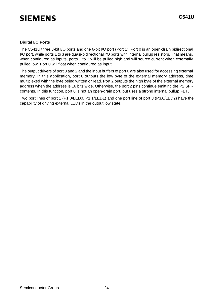#### **Digital I/O Ports**

The C541U three 8-bit I/O ports and one 6-bit I/O port (Port 1). Port 0 is an open-drain bidirectional I/O port, while ports 1 to 3 are quasi-bidirectional I/O ports with internal pullup resistors. That means, when configured as inputs, ports 1 to 3 will be pulled high and will source current when externally pulled low. Port 0 will float when configured as input.

The output drivers of port 0 and 2 and the input buffers of port 0 are also used for accessing external memory. In this application, port 0 outputs the low byte of the external memory address, time multiplexed with the byte being written or read. Port 2 outputs the high byte of the external memory address when the address is 16 bits wide. Otherwise, the port 2 pins continue emitting the P2 SFR contents. In this function, port 0 is not an open-drain port, but uses a strong internal pullup FET.

Two port lines of port 1 (P1.0/LED0, P1.1/LED1) and one port line of port 3 (P3.0/LED2) have the capability of driving external LEDs in the output low state.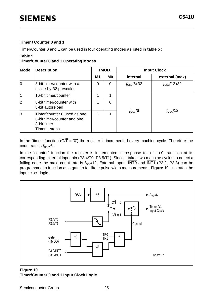#### **Timer / Counter 0 and 1**

Timer/Counter 0 and 1 can be used in four operating modes as listed in **table 5** :

# **Table 5**

**Timer/Counter 0 and 1 Operating Modes**

| <b>Mode</b>    | <b>Description</b>                                                                         |                | <b>TMOD</b> | <b>Input Clock</b> |                     |  |  |
|----------------|--------------------------------------------------------------------------------------------|----------------|-------------|--------------------|---------------------|--|--|
|                |                                                                                            | M <sub>1</sub> | <b>MO</b>   | internal           | external (max)      |  |  |
| $\overline{0}$ | 8-bit timer/counter with a<br>divide-by-32 prescaler                                       |                | 0           | $f_{\rm osc}/6x32$ | $f_{\rm osc}/12x32$ |  |  |
| 1              | 16-bit timer/counter                                                                       | 1              | 1           |                    |                     |  |  |
| 2              | 8-bit timer/counter with<br>8-bit autoreload                                               | 1              | 0           |                    |                     |  |  |
| 3              | Timer/counter 0 used as one<br>8-bit timer/counter and one<br>8-bit timer<br>Timer 1 stops | 1              | 1           | $f_{\rm osc}/6$    | $f_{\rm osc}/12$    |  |  |

In the "timer" function ( $C/\overline{T}$  = '0') the register is incremented every machine cycle. Therefore the count rate is  $f_{\rm osc}/6$ .

In the "counter" function the register is incremented in response to a 1-to-0 transition at its corresponding external input pin (P3.4/T0, P3.5/T1). Since it takes two machine cycles to detect a falling edge the max. count rate is  $f_{\rm osc}/12$ . External inputs  $\overline{\text{INT0}}$  and  $\overline{\text{INT1}}$  (P3.2, P3.3) can be programmed to function as a gate to facilitate pulse width measurements. **Figure 10** illustrates the input clock logic.



### **Figure 10 Timer/Counter 0 and 1 Input Clock Logic**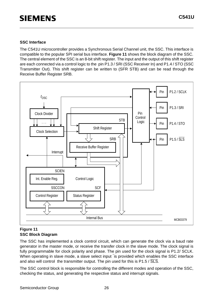#### **SSC Interface**

The C541U microcontroller provides a Synchronous Serial Channel unit, the SSC. This interface is compatible to the popular SPI serial bus interface. **Figure 11** shows the block diagram of the SSC. The central element of the SSC is an 8-bit shift register. The input and the output of this shift register are each connected via a control logic to the pin P1.3 / SRI (SSC Receiver In) and P1.4 / STO (SSC Transmitter Out). This shift register can be written to (SFR STB) and can be read through the Receive Buffer Register SRB.



#### **Figure 11 SSC Block Diagram**

The SSC has implemented a clock control circuit, which can generate the clock via a baud rate generator in the master mode, or receive the transfer clock in the slave mode. The clock signal is fully programmable for clock polarity and phase. The pin used for the clock signal is P1.2/ SCLK. When operating in slave mode, a slave select input is provided which enables the SSC interface and also will control the transmitter output. The pin used for this is P1.5 / SLS.

The SSC control block is responsible for controlling the different modes and operation of the SSC, checking the status, and generating the respective status and interrupt signals.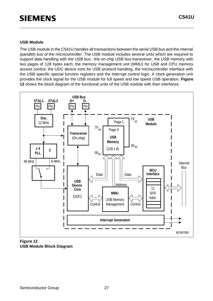#### **USB Module**

The USB module in the C541U handles all transactions between the serial USB bus and the internal (parallel) bus of the microcontroller. The USB module includes several units which are required to support data handling with the USB bus : the on-chip USB bus transceiver, the USB memory with two pages of 128 bytes each, the memory management unit (MMU) for USB and CPU memory access control, the UDC device core for USB protocol handling, the microcontroller interface with the USB specific special function registers and the interrupt control logic. A clock generation unit provides the clock signal for the USB module for full speed and low speed USB operation. **Figure 12** shows the block diagram of the functional units of the USB module with their interfaces.



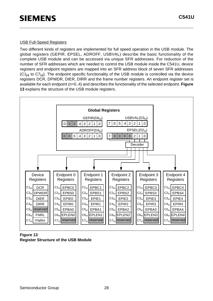#### USB Full-Speed Registers

Two different kinds of registers are implemented for full speed operation in the USB module. The global registers (GEPIR, EPSEL, ADROFF, USBVAL) describe the basic functionality of the complete USB module and can be accessed via unique SFR addresses. For reduction of the number of SFR addresses which are needed to control the USB module inside the C541U, device registers and endpoint registers are mapped into an SFR address block of seven SFR addresses  $(C1_H$  to  $C7_H$ ). The endpoint specific functionality of the USB module is controlled via the device registers DCR, DPWDR, DIER, DIRR and the frame number registers. An endpoint register set is available for each endpoint (n=0..4) and describes the functionality of the selected endpoint. **Figure 13** explains the structure of the USB module registers.



**Figure 13 Register Structure of the USB Module**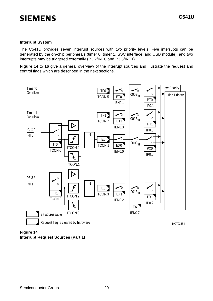#### **Interrupt System**

The C541U provides seven interrupt sources with two priority levels. Five interrupts can be generated by the on-chip peripherals (timer 0, timer 1, SSC interface, and USB module), and two interrupts may be triggered externally (P3.2/INT0 and P3.3/INT1).

**Figure 14** to **16** give a general overview of the interrupt sources and illustrate the request and control flags which are described in the next sections.



**Figure 14 Interrupt Request Sources (Part 1)**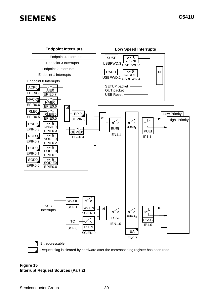

### **Figure 15 Interrupt Request Sources (Part 2)**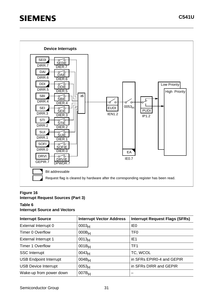

#### **Figure 16 Interrupt Request Sources (Part 3)**

#### **Table 6**

#### **Interrupt Source and Vectors**

| <b>Interrupt Source</b>       | <b>Interrupt Vector Address</b> | <b>Interrupt Request Flags (SFRs)</b> |
|-------------------------------|---------------------------------|---------------------------------------|
| External Interrupt 0          | 0003 <sub>H</sub>               | IE <sub>0</sub>                       |
| <b>Timer 0 Overflow</b>       | $000B_H$                        | TF <sub>0</sub>                       |
| <b>External Interrupt 1</b>   | 0013 <sub>H</sub>               | IE <sub>1</sub>                       |
| <b>Timer 1 Overflow</b>       | $001B_H$                        | TF <sub>1</sub>                       |
| <b>SSC</b> Interrupt          | 0043 <sub>H</sub>               | TC, WCOL                              |
| <b>USB Endpoint Interrupt</b> | $004B_H$                        | in SFRs EPIR0-4 and GEPIR             |
| <b>USB Device Interrupt</b>   | 0053 <sub>H</sub>               | in SFRs DIRR and GEPIR                |
| Wake-up from power down       | $007B_H$                        |                                       |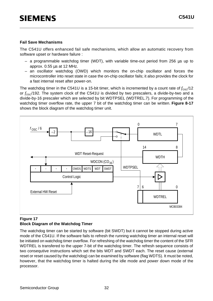#### **Fail Save Mechanisms**

The C541U offers enhanced fail safe mechanisms, which allow an automatic recovery from software upset or hardware failure :

- $-$  a programmable watchdog timer (WDT), with variable time-out period from 256  $\mu$ s up to approx. 0.55 µs at 12 MHz.
- an oscillator watchdog (OWD) which monitors the on-chip oscillator and forces the microcontroller into reset state in case the on-chip oscillator fails; it also provides the clock for a fast internal reset after power-on.

The watchdog timer in the C541U is a 15-bit timer, which is incremented by a count rate of  $f_{\rm osc}/12$ or  $f_{\rm osc}/192$ . The system clock of the C541U is divided by two prescalers, a divide-by-two and a divide-by-16 prescaler which are selected by bit WDTPSEL (WDTREL.7). For programming of the watchdog timer overflow rate, the upper 7 bit of the watchdog timer can be written. **Figure 8-17** shows the block diagram of the watchdog timer unit.



#### **Figure 17 Block Diagram of the Watchdog Timer**

The watchdog timer can be started by software (bit SWDT) but it cannot be stopped during active mode of the C541U. If the software fails to refresh the running watchdog timer an internal reset will be initiated on watchdog timer overflow. For refreshing of the watchdog timer the content of the SFR WDTREL is transfered to the upper 7-bit of the watchdog timer. The refresh sequence consists of two consequtive instructions which set the bits WDT and SWDT each. The reset cause (external reset or reset caused by the watchdog) can be examined by software (flag WDTS). It must be noted, however, that the watchdog timer is halted during the idle mode and power down mode of the processor.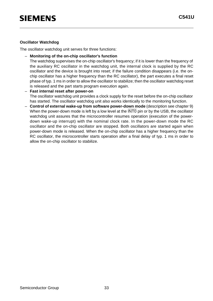#### **Oscillator Watchdog**

The oscillator watchdog unit serves for three functions:

– **Monitoring of the on-chip oscillator's function** 

The watchdog supervises the on-chip oscillator's frequency; if it is lower than the frequency of the auxiliary RC oscillator in the watchdog unit, the internal clock is supplied by the RC oscillator and the device is brought into reset; if the failure condition disappears (i.e. the onchip oscillator has a higher frequency than the RC oscillator), the part executes a final reset phase of typ. 1 ms in order to allow the oscillator to stabilize; then the oscillator watchdog reset is released and the part starts program execution again.

- **Fast internal reset after power-on**  The oscillator watchdog unit provides a clock supply for the reset before the on-chip oscillator has started. The oscillator watchdog unit also works identically to the monitoring function.
- **Control of external wake-up from software power-down mode** (description see chapter 9) When the power-down mode is left by a low level at the INTO pin or by the USB, the oscillator watchdog unit assures that the microcontroller resumes operation (execution of the powerdown wake-up interrupt) with the nominal clock rate. In the power-down mode the RC oscillator and the on-chip oscillator are stopped. Both oscillators are started again when power-down mode is released. When the on-chip oscillator has a higher frequency than the RC oscillator, the microcontroller starts operation after a final delay of typ. 1 ms in order to allow the on-chip oscillator to stabilize.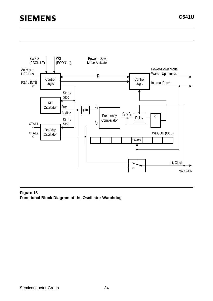

#### **Figure 18 Functional Block Diagram of the Oscillator Watchdog**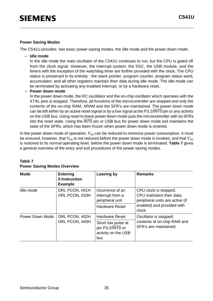#### **Power Saving Modes**

The C541U provides two basic power saving modes, the idle mode and the power down mode.

– **Idle mode**

In the idle mode the main oscillator of the C541U continues to run, but the CPU is gated off from the clock signal. However, the interrupt system, the SSC, the USB module, and the timers with the exception of the watchdog timer are further provided with the clock. The CPU status is preserved in its entirety : the stack pointer, program counter, program status word, accumulator, and all other registers maintain their data during idle mode. The idle mode can be terminated by activating any enabled interrupt. or by a hardware reset.

– **Power down mode**

In the power down mode, the RC osciillator and the on-chip oscillator which operates with the XTAL pins is stopped. Therefore, all functions of the microcontroller are stopped and only the contents of the on-chip RAM, XRAM and the SFR's are maintained. The power down mode can be left either by an active reset signal or by a low signal at the P3.2/INT0 pin or any activity on the USB bus. Using reset to leave power down mode puts the microcontroller with its SFRs into the reset state. Using the INT0 pin or USB bus for power down mode exit maintains the state of the SFRs, which has been frozen when power down mode is entered.

In the power down mode of operation,  $V_{DD}$  can be reduced to minimize power consumption. It must be ensured, however, that  $V_{DD}$  is not reduced before the power down mode is invoked, and that  $V_{DD}$ is restored to its normal operating level, before the power down mode is terminated. **Table 7** gives a general overview of the entry and exit procedures of the power saving modes.

| <b>Mode</b>     | <b>Entering</b><br>2-Instruction<br><b>Example</b> | <b>Leaving by</b>                                                    | <b>Remarks</b>                                                                        |
|-----------------|----------------------------------------------------|----------------------------------------------------------------------|---------------------------------------------------------------------------------------|
| Idle mode       | ORL PCON, #01H<br>ORL PCON, #20H                   | Ocurrence of an<br>interrupt from a<br>peripheral unit               | CPU clock is stopped;<br>CPU maintains their data;<br>peripheral units are active (if |
|                 |                                                    | <b>Hardware Reset</b>                                                | enabled) and provided with<br>clock                                                   |
| Power Down Mode | ORL PCON, #02H                                     | <b>Hardware Reset</b>                                                | Oscillator is stopped;                                                                |
|                 | ORL PCON, #40H                                     | Short low pulse at<br>pin P3.2/INT0 or<br>activity on the USB<br>bus | contents of on-chip RAM and<br>SFR's are maintained;                                  |

#### **Table 7 Power Saving Modes Overview**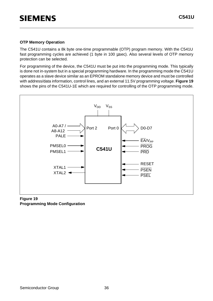#### **OTP Memory Operation**

The C541U contains a 8k byte one-time programmable (OTP) program memory. With the C541U fast programming cycles are achieved (1 byte in 100 µsec). Also several levels of OTP memory protection can be selected.

For programming of the device, the C541U must be put into the programming mode. This typically is done not in-system but in a special programming hardware. In the programming mode the C541U operates as a slave device similar as an EPROM standalone memory device and must be controlled with address/data information, control lines, and an external 11.5V programming voltage. **Figure 19** shows the pins of the C541U-1E which are required for controlling of the OTP programming mode.



#### **Figure 19 Programming Mode Configuration**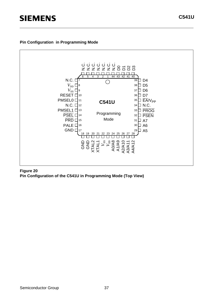#### **Pin Configuration in Programming Mode**



**Figure 20 Pin Configuration of the C541U in Programming Mode (Top View)**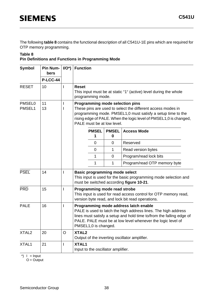The following **table 8** contains the functional description of all C541U-1E pins which are required for OTP memory programming.

#### **Table 8**

### **Pin Definitions and Functions in Programming Mode**

| <b>Symbol</b>           | <b>Pin Num-</b><br>bers<br><b>P-LCC-44</b> | $I/O^*$      | <b>Function</b>                                                                                                                                                                                                                                                        |                                                                                                                                                                                                                                                                         |                                      |                                                                                                                     |  |  |  |
|-------------------------|--------------------------------------------|--------------|------------------------------------------------------------------------------------------------------------------------------------------------------------------------------------------------------------------------------------------------------------------------|-------------------------------------------------------------------------------------------------------------------------------------------------------------------------------------------------------------------------------------------------------------------------|--------------------------------------|---------------------------------------------------------------------------------------------------------------------|--|--|--|
| <b>RESET</b>            | 10                                         | $\mathbf{I}$ | <b>Reset</b>                                                                                                                                                                                                                                                           | This input must be at static "1" (active) level during the whole<br>programming mode.                                                                                                                                                                                   |                                      |                                                                                                                     |  |  |  |
| <b>PMSEL0</b><br>PMSEL1 | 11<br>13                                   |              |                                                                                                                                                                                                                                                                        | <b>Programming mode selection pins</b><br>These pins are used to select the different access modes in<br>programming mode. PMSEL1,0 must satisfy a setup time to the<br>rising edge of PALE. When the logic level of PMSEL1,0 is changed,<br>PALE must be at low level. |                                      |                                                                                                                     |  |  |  |
|                         |                                            |              |                                                                                                                                                                                                                                                                        | <b>PMSEL</b><br>1                                                                                                                                                                                                                                                       | <b>PMSEL</b><br>$\bf{0}$             | <b>Access Mode</b>                                                                                                  |  |  |  |
|                         |                                            |              |                                                                                                                                                                                                                                                                        | $\overline{0}$                                                                                                                                                                                                                                                          | $\mathbf 0$                          | Reserved                                                                                                            |  |  |  |
|                         |                                            |              |                                                                                                                                                                                                                                                                        | $\mathbf 0$                                                                                                                                                                                                                                                             | $\mathbf{1}$                         | Read version bytes                                                                                                  |  |  |  |
|                         |                                            |              |                                                                                                                                                                                                                                                                        | 1                                                                                                                                                                                                                                                                       | $\mathbf 0$                          | Program/read lock bits                                                                                              |  |  |  |
|                         |                                            |              |                                                                                                                                                                                                                                                                        | 1                                                                                                                                                                                                                                                                       | 1                                    | Program/read OTP memory byte                                                                                        |  |  |  |
| <b>PSEL</b>             | 14                                         | L            |                                                                                                                                                                                                                                                                        |                                                                                                                                                                                                                                                                         | <b>Basic programming mode select</b> | This input is used for the basic programming mode selection and<br>must be switched according figure 10-21.         |  |  |  |
| <b>PRD</b>              | 15                                         |              |                                                                                                                                                                                                                                                                        |                                                                                                                                                                                                                                                                         | Programming mode read strobe         | This input is used for read access control for OTP memory read,<br>version byte read, and lock bit read operations. |  |  |  |
| <b>PALE</b>             | 16                                         |              | Programming mode address latch enable<br>PALE is used to latch the high address lines. The high address<br>lines must satisfy a setup and hold time to/from the falling edge of<br>PALE. PALE must be at low level whenever the logic level of<br>PMSEL1,0 is changed. |                                                                                                                                                                                                                                                                         |                                      |                                                                                                                     |  |  |  |
| XTAL <sub>2</sub>       | 20                                         | $\circ$      |                                                                                                                                                                                                                                                                        | XTAL <sub>2</sub><br>Output of the inverting oscillator amplifier.                                                                                                                                                                                                      |                                      |                                                                                                                     |  |  |  |
| XTAL1                   | 21                                         |              | <b>XTAL1</b>                                                                                                                                                                                                                                                           | Input to the oscillator amplifier.                                                                                                                                                                                                                                      |                                      |                                                                                                                     |  |  |  |

\*)  $I = Input$ 

 $O =$ Output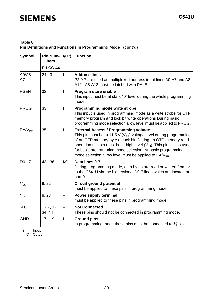### **Table 8 Pin Definitions and Functions in Programming Mode (cont'd)**

| <b>Symbol</b>   | <b>Pin Num-</b><br>bers | $IO^*$       | <b>Function</b>                                                                                                                                                                                                                                                                                                                                                                                                                            |
|-----------------|-------------------------|--------------|--------------------------------------------------------------------------------------------------------------------------------------------------------------------------------------------------------------------------------------------------------------------------------------------------------------------------------------------------------------------------------------------------------------------------------------------|
|                 | <b>P-LCC-44</b>         |              |                                                                                                                                                                                                                                                                                                                                                                                                                                            |
| $AO/AB -$<br>A7 | $24 - 31$               | $\mathbf{I}$ | <b>Address lines</b><br>P2.0-7 are used as multiplexed address input lines A0-A7 and A8-<br>A12. A8-A12 must be latched with PALE.                                                                                                                                                                                                                                                                                                         |
| <b>PSEN</b>     | 32                      |              | Program store enable<br>This input must be at static "0" level during the whole programming<br>mode.                                                                                                                                                                                                                                                                                                                                       |
| <b>PROG</b>     | 33                      | L            | Programming mode write strobe<br>This input is used in programming mode as a write strobe for OTP<br>memory program and lock bit write operations During basic<br>programming mode selection a low level must be applied to PROG.                                                                                                                                                                                                          |
| $EAV_{PP}$      | 35                      | L            | <b>External Access / Programming voltage</b><br>This pin must be at 11.5 V ( $V_{\text{PP}}$ ) voltage level during programming<br>of an OTP memory byte or lock bit. During an OTP memory read<br>operation this pin must be at high level $(V_{H})$ . This pin is also used<br>for basic programming mode selection. At basic programming<br>mode selection a low level must be applied to $\overline{\text{EA}}/\text{V}_{\text{PP}}$ . |
| $D0 - 7$        | $43 - 36$               | I/O          | Data lines 0-7<br>During programming mode, data bytes are read or written from or<br>to the C541U via the bidirectional D0-7 lines which are located at<br>port 0.                                                                                                                                                                                                                                                                         |
| $V_{\rm SS}$    | 9, 22                   |              | <b>Circuit ground potential</b><br>must be applied to these pins in programming mode.                                                                                                                                                                                                                                                                                                                                                      |
| $V_{\text{DD}}$ | 8, 23                   |              | Power supply terminal<br>must be applied to these pins in programming mode.                                                                                                                                                                                                                                                                                                                                                                |
| N.C.            | $1 - 7, 12,$<br>34, 44  |              | <b>Not Connected</b><br>These pins should not be connected in programming mode.                                                                                                                                                                                                                                                                                                                                                            |
| <b>GND</b>      | $17 - 19$               | T            | <b>Ground pins</b><br>In programming mode these pins must be connected to $V_{\parallel}$ level.                                                                                                                                                                                                                                                                                                                                           |

 $\check{\ }$ ) I = Input

 $O =$  Output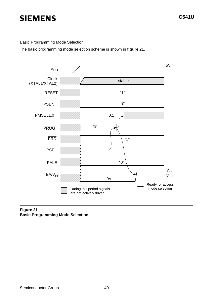Basic Programming Mode Selection

The basic programming mode selection scheme is shown in **figure 21**.



#### **Figure 21 Basic Programming Mode Selection**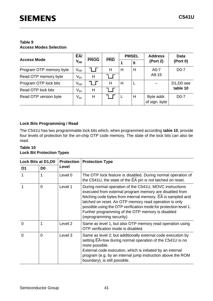#### **Table 9 Access Modes Selection**

|                         | EAV                        |             |            |   | <b>PMSEL</b> | <b>Address</b>              | <b>Data</b>                         |
|-------------------------|----------------------------|-------------|------------|---|--------------|-----------------------------|-------------------------------------|
| <b>Access Mode</b>      | <b>V<sub>PP</sub></b>      | <b>PROG</b> | <b>PRD</b> |   | 0            | (Port 2)                    | (Port 0)                            |
| Program OTP memory byte | $\mathsf{V}_{\mathsf{PP}}$ |             | H          | H | H            | $A0-7$                      | $D0-7$                              |
| Read OTP memory byte    | V <sub>IH</sub>            | Н           |            |   |              | A8-15                       |                                     |
| Program OTP lock bits   | $\mathsf{V}_{\mathsf{PP}}$ |             | H          | Н |              |                             | D <sub>1</sub> , D <sub>0</sub> see |
| Read OTP lock bits      | V <sub>IH</sub>            | Н           |            |   |              |                             | table 10                            |
| Read OTP version byte   | V <sub>IH</sub>            | Н           |            |   | Н            | Byte addr.<br>of sign. byte | $D0-7$                              |

### **Lock Bits Programming / Read**

The C541U has two programmable lock bits which, when programmed according **tabie 10**, provide four levels of protection for the on-chip OTP code memory. The state of the lock bits can also be read.

#### **Table 10 Lock Bit Protection Types**

| Lock Bits at D1, D0 |                | <b>Protection</b> | <b>Protection Type</b>                                                                                                                                                                                                                                                                                                                                                                            |
|---------------------|----------------|-------------------|---------------------------------------------------------------------------------------------------------------------------------------------------------------------------------------------------------------------------------------------------------------------------------------------------------------------------------------------------------------------------------------------------|
| D <sub>1</sub>      | D <sub>0</sub> | Level             |                                                                                                                                                                                                                                                                                                                                                                                                   |
|                     | 1              | Level 0           | The OTP lock feature is disabled. During normal operation of<br>the C541U, the state of the EA pin is not latched on reset.                                                                                                                                                                                                                                                                       |
|                     | $\Omega$       | Level 1           | During normal operation of the C541U, MOVC instructions<br>executed from external program memory are disabled from<br>fetching code bytes from internal memory. EA is sampled and<br>latched on reset. An OTP memory read operation is only<br>possible using the OTP verification mode for protection level 1.<br>Further programming of the OTP memory is disabled<br>(reprogramming security). |
| $\Omega$            | 1              | Level 2           | Same as level 1, but also OTP memory read operation using<br>OTP verification mode is disabled.                                                                                                                                                                                                                                                                                                   |
| $\Omega$            | $\Omega$       | Level 3           | Same as level 2; but additionally external code execution by<br>setting EA=low during normal operation of the C541U is no<br>more possible.<br>External code execution, which is initiated by an internal<br>program (e.g. by an internal jump instruction above the ROM<br>boundary), is still possible.                                                                                         |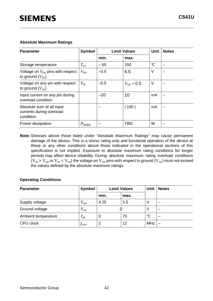#### **Absolute Maximum Ratings**

| <b>Parameter</b>                                                         | Symbol            |        | <b>Limit Values</b>   | <b>Unit</b>  | <b>Notes</b> |
|--------------------------------------------------------------------------|-------------------|--------|-----------------------|--------------|--------------|
|                                                                          |                   | min.   | max.                  |              |              |
| Storage temperature                                                      | $T_{\text{ST}}$   | $-65$  | 150                   | $\mathrm{C}$ |              |
| Voltage on $V_{\text{DD}}$ pins with respect<br>to ground $(V_{\rm ss})$ | $V_{DD}$          | $-0.5$ | 6.5                   | V            |              |
| Voltage on any pin with respect<br>to ground $(V_{\rm ss})$              | $V_{\sf IN}$      | $-0.5$ | $V_{\text{DD}} + 0.5$ | V            |              |
| Input current on any pin during<br>overload condition                    |                   | $-10$  | 10                    | mA           |              |
| Absolute sum of all input<br>currents during overload<br>condition       |                   |        | 100                   | mA           |              |
| Power dissipation                                                        | $P_{\text{DISS}}$ |        | <b>TBD</b>            | W            |              |

**Note:** Stresses above those listed under "Absolute Maximum Ratings" may cause permanent damage of the device. This is a stress rating only and functional operation of the device at these or any other conditions above those indicated in the operational sections of this specification is not implied. Exposure to absolute maximum rating conditions for longer periods may affect device reliability. During absolute maximum rating overload conditions ( $V_{IN}$  >  $V_{DD}$  or  $V_{IN}$  <  $V_{SS}$ ) the voltage on  $V_{DD}$  pins with respect to ground ( $V_{SS}$ ) must not exceed the values defined by the absolute maximum ratings.

#### **Operating Conditions**

| <b>Parameter</b>    | Symbol             |                  | <b>Limit Values</b> | <b>Unit</b>  | <b>Notes</b> |
|---------------------|--------------------|------------------|---------------------|--------------|--------------|
|                     |                    | min.             | max.                |              |              |
| Supply voltage      | $V_{\mathsf{DD}}$  | 4.25             | 5.5                 |              |              |
| Ground voltage      | $V_{\mathtt{SS}}$  |                  |                     | V            |              |
| Ambient temperature | $T_{\sf A}$        | $\boldsymbol{0}$ | 70                  | $\mathrm{C}$ |              |
| CPU clock           | $f_{\mathsf{CPU}}$ | $\overline{2}$   | 12                  | <b>MHz</b>   |              |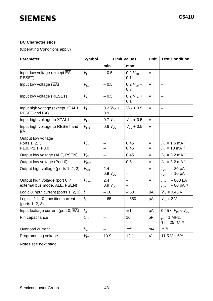#### **DC Characteristics**

(Operating Conditions apply)

| <b>Parameter</b>                                                | <b>Symbol</b>                  |                       | <b>Limit Values</b>   | Unit        | <b>Test Condition</b>                                             |
|-----------------------------------------------------------------|--------------------------------|-----------------------|-----------------------|-------------|-------------------------------------------------------------------|
|                                                                 |                                | min.                  | max.                  |             |                                                                   |
| Input low voltage (except EA,<br>RESET)                         | $V_{\scriptscriptstyle\rm IL}$ | $-0.5$                | 0.2 $V_{DD}$ –<br>0.1 | $\vee$      |                                                                   |
| Input low voltage $(\overline{EA})$                             | $V_{\text{IL1}}$               | $-0.5$                | 0.2 $V_{DD}$ –<br>0.3 | $\vee$      |                                                                   |
| Input low voltage (RESET)                                       | V <sub>12</sub>                | $-0.5$                | $0.2 V_{DD} +$<br>0.1 | $\vee$      |                                                                   |
| Input high voltage (except XTAL1,<br>RESET and EA)              | $V_{\rm IH}$                   | $0.2 V_{DD} +$<br>0.9 | $V_{DD}$ + 0.5        | V           |                                                                   |
| Input high voltage to XTAL1                                     | $V_{\text{I}H1}$               | 0.7 $V_{DD}$          | $V_{\text{DD}} + 0.5$ | $\vee$      | $\overline{\phantom{0}}$                                          |
| Input high voltage to RESET and<br>EA                           | $V_{\text{I}H2}$               | $0.6 V_{DD}$          | $V_{\text{DD}} + 0.5$ | V           |                                                                   |
| Output low voltage<br>Ports 1, 2, 3<br>P1.0, P1.1, P3.0         | $V_{\text{OL}}$                |                       | 0.45<br>0.45          | $\vee$<br>V | $I_{OL}$ = 1.6 mA <sup>1)</sup><br>$I_{OL}$ = 10 mA <sup>1)</sup> |
| Output low voltage (ALE, PSEN)                                  | $V_{OL1}$                      | -                     | 0.45                  | V           | $I_{OL}$ = 3.2 mA <sup>1)</sup>                                   |
| Output low voltage (Port 0)                                     | $V_{OL2}$                      |                       | 0.6                   | $\vee$      | $I_{OL}$ = 3.2 mA <sup>1)</sup>                                   |
| Output high voltage (ports 1, 2, 3)                             | $V_{\text{OH}}$                | 2.4<br>0.9 $V_{DD}$   |                       | $\vee$      | $I_{\text{OH}} = -80 \mu A$ ,<br>$I_{\text{OH}} = -10 \mu A$      |
| Output high voltage (port 0 in<br>external bus mode, ALE, PSEN) | $V_{OHA}$                      | 2.4<br>0.9 $V_{DD}$   |                       | $\vee$      | $I_{OH} = -800 \mu A$<br>$I_{\text{OH}} = -80 \mu A^{2}$          |
| Logic 0 input current (ports 1, 2, 3)                           | $I_{\rm IL}$                   | $-10$                 | $-60$                 | μA          | $V_{\text{IN}} = 0.45 \text{ V}$                                  |
| Logical 1-to-0 transition current<br>(ports 1, 2, 3)            | $I_{\tau \text{\tiny L}}$      | $-65$                 | $-650$                | μA          | $V_{\text{IN}}$ = 2 V                                             |
| Input leakage current (port 0, EA)                              | $I_{\sqcup}$                   |                       | ±1                    | $\mu$ A     | $0.45 < V_{\text{IN}} < V_{\text{DD}}$                            |
| Pin capacitance                                                 | $C_{\text{IO}}$                |                       | 10                    | pF          | $f_c = 1$ MHz,<br>$T_A = 25 °C$ <sup>7)</sup>                     |
| Overload current                                                | $I_{\rm OV}$                   |                       | ± 5                   | mA          | 6) 7)                                                             |
| Programming voltage                                             | $V_{\mathsf{PP}}$              | 10.9                  | 12.1                  | V           | $11.5 V \pm 5%$                                                   |

Notes see next page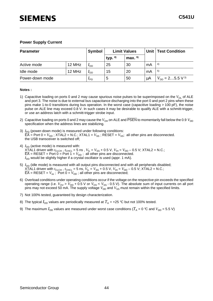| <b>Parameter</b> |        | Symbol          | <b>Limit Values</b> |          |    | Unit   Test Condition                |
|------------------|--------|-----------------|---------------------|----------|----|--------------------------------------|
|                  |        |                 | typ. $8)$           | max. $9$ |    |                                      |
| Active mode      | 12 MHz | $I_{DD}$        | 25                  | 30       | mA | 4)                                   |
| Idle mode        | 12 MHz | 4nn             | 15                  | 20       | mA | 5)                                   |
| Power-down mode  |        | $I_{\text{PD}}$ | 5                   | 50       | μA | $V_{\text{DD}} = 25.5 \text{ V}^{3}$ |

#### **Notes :**

- 1) Capacitive loading on ports 0 and 2 may cause spurious noise pulses to be superimposed on the  $V_{\text{OL}}$  of ALE and port 3. The noise is due to external bus capacitance discharging into the port 0 and port 2 pins when these pins make 1-to-0 transitions during bus operation. In the worst case (capacitive loading > 100 pF), the noise pulse on ALE line may exceed 0.8 V. In such cases it may be desirable to qualify ALE with a schmitt-trigger, or use an address latch with a schmitt-trigger strobe input.
- 2) Capacitive loading on ports 0 and 2 may cause the  $V_{OH}$  on ALE and PSEN to momentarily fall below the 0.9  $V_{DD}$ specification when the address lines are stabilizing.
- 3) *I<sub>PD</sub>* (power-down mode) is measured under following conditions:  $\overline{EA}$  = Port 0 =  $V_{DD}$ ; XTAL2 = N.C.; XTAL1 =  $V_{SS}$ ; RESET =  $V_{SS}$ ; all other pins are disconnected. the USB transceiver is switched off;
- 4)  $I_{\text{DD}}$  (active mode) is measured with:  $XTA$ L1 driven with  $t_{\text{CLCH}}$  ,  $t_{\text{CHCL}}$  = 5 ns ,  $V_{\text{IL}}$  =  $V_{\text{SS}}$  + 0.5 V,  $V_{\text{IH}}$  =  $V_{\text{DD}}$  – 0.5 V; XTAL2 = N.C.;  $\overline{\mathsf{EA}}$  = RESET = Port 0 = Port 1 =  $V_{\mathsf{DD}}$ ; all other pins are disconnected.  $I_{\text{DD}}$  would be slightly higher if a crystal oscillator is used (appr. 1 mA).
- 5)  $I_{\text{DD}}$  (idle mode) is measured with all output pins disconnected and with all peripherals disabled;  $XTAL1$  driven with  $t_{CLCH}$ ,  $t_{CHCL} = 5$  ns,  $V_{IL} = V_{SS} + 0.5$  V,  $V_{IH} = V_{DD} - 0.5$  V; XTAL2 = N.C.;  $\overline{EA}$  = RESET =  $V_{ss}$ ; Port 0 =  $V_{DD}$ ; all other pins are disconnected;
- 6) Overload conditions under operating conditions occur if the voltage on the respective pin exceeds the specified operating range (i.e.  $V_{\text{OV}} > V_{\text{DD}}$  + 0.5 V or  $V_{\text{OV}}$  <  $V_{\text{SS}}$  - 0.5 V). The absolute sum of input currents on all port pins may not exceed 50 mA. The supply voltage  $V^{}_{\rm DD}$  and  $V^{}_{\rm SS}$  must remain within the specified limits.
- 7) Not 100% tested, guaranteed by design characterization.
- 8) The typical  $I_{\text{DD}}$  values are periodically measured at  $T_A = +25$  °C but not 100% tested.
- 9) The maximum  $I_{DD}$  values are measured under worst case conditions ( $T_A$  = 0 °C and  $V_{DD}$  = 5.5 V)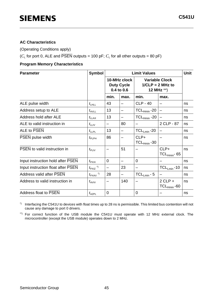#### **AC Characteristics**

(Operating Conditions apply)

( $C_{L}$  for port 0, ALE and  $\overline{PSEN}$  outputs = 100 pF;  $C_{L}$  for all other outputs = 80 pF)

#### **Program Memory Characteristics**

| <b>Parameter</b>                   | Symbol                          |                | <b>Limit Values</b>                             |                          |                                                           |    |  |
|------------------------------------|---------------------------------|----------------|-------------------------------------------------|--------------------------|-----------------------------------------------------------|----|--|
|                                    |                                 |                | 10-MHz clock<br><b>Duty Cycle</b><br>0.4 to 0.6 |                          | <b>Variable Clock</b><br>$1/CLP = 2 MHz to$<br>12 MHz **) |    |  |
|                                    |                                 | min.           | max.                                            | min.                     | max.                                                      |    |  |
| ALE pulse width                    | $t_{\text{LHL}}$                | 43             |                                                 | <b>CLP - 40</b>          |                                                           | ns |  |
| Address setup to ALE               | $t_{\text{AVLL}}$               | 13             |                                                 | $TCL_{Hmin}$ -20         |                                                           | ns |  |
| Address hold after ALE             | $t_{\text{LLAX}}$               | 13             |                                                 | $TCL_{Hmin}$ -20         |                                                           | ns |  |
| ALE to valid instruction in        | $t_{\text{LLIV}}$               |                | 80                                              |                          | 2 CLP - 87                                                | ns |  |
| ALE to PSEN                        | $t_{\text{LLPL}}$               | 13             |                                                 | $TCL_{Lmin} - 20$        |                                                           | ns |  |
| PSEN pulse width                   | $t_{\mathsf{PLPH}}$             | 86             |                                                 | CLP+<br>$TCL_{Hmin}$ -30 |                                                           | ns |  |
| PSEN to valid instruction in       | $t_{\rm PLIV}$                  |                | 51                                              |                          | $CLP+$<br>$TCL_{Hmin}$ - 65                               | ns |  |
| Input instruction hold after PSEN  | $t_{\sf P XIX}$                 | $\overline{0}$ |                                                 | $\overline{0}$           |                                                           | ns |  |
| Input instruction float after PSEN | $t_{\text{PXIZ}}$ <sup>*)</sup> |                | 23                                              |                          | $TCL_{Lmin} - 10$                                         | ns |  |
| <b>Address valid after PSEN</b>    | $t_{\text{PXAV}}$ <sup>*)</sup> | 28             |                                                 | $TCL_{Lmin} - 5$         |                                                           | ns |  |
| Address to valid instruction in    | $t_{AVIV}$                      |                | 140                                             |                          | $2$ CLP +<br>$TCL_{Hmin}$ -60                             | ns |  |
| <b>Address float to PSEN</b>       | $t_{\sf AZPL}$                  | 0              |                                                 | $\overline{0}$           |                                                           | ns |  |

\*) Interfacing the C541U to devices with float times up to 28 ns is permissible. This limited bus contention will not cause any damage to port 0 drivers.

\*\*) For correct function of the USB module the C541U must operate with 12 MHz external clock. The microcontroller (except the USB module) operates down to 2 MHz.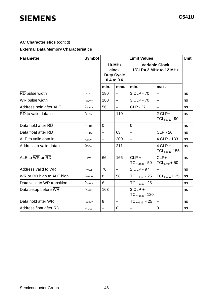# **AC Characteristics** (cont'd)

#### **External Data Memory Characteristics**

| <b>Parameter</b>            | <b>Symbol</b>     |                          |                                                    | <b>Limit Values</b>                             | Unit                             |    |
|-----------------------------|-------------------|--------------------------|----------------------------------------------------|-------------------------------------------------|----------------------------------|----|
|                             |                   |                          | 10-MHz<br>clock<br><b>Duty Cycle</b><br>0.4 to 0.6 | <b>Variable Clock</b><br>1/CLP= 2 MHz to 12 MHz |                                  |    |
|                             |                   | min.                     | max.                                               | min.                                            | max.                             |    |
| RD pulse width              | $t_{\sf RLRH}$    | 180                      | $\overline{\phantom{0}}$                           | 3 CLP - 70                                      |                                  | ns |
| WR pulse width              | $t_{\text{WLWH}}$ | 180                      | $\overline{\phantom{0}}$                           | 3 CLP - 70                                      |                                  | ns |
| Address hold after ALE      | $t_{LLAX2}$       | 56                       | $\overline{\phantom{0}}$                           | <b>CLP - 27</b>                                 | —                                | ns |
| RD to valid data in         | $t_{\rm RLDV}$    | $\overline{\phantom{0}}$ | 110                                                |                                                 | $2$ CLP+<br>$TCL_{Hmin}$ - 90    | ns |
| Data hold after RD          | $t_{\sf RHDX}$    | $\overline{0}$           |                                                    | $\overline{0}$                                  |                                  | ns |
| Data float after RD         | $t_{\sf RHDZ}$    | $\overline{\phantom{0}}$ | 63                                                 | $\overline{\phantom{0}}$                        | <b>CLP - 20</b>                  | ns |
| ALE to valid data in        | $t_{\text{LLDV}}$ |                          | 200                                                | —                                               | 4 CLP - 133                      | ns |
| Address to valid data in    | $t_{AVDV}$        | —                        | 211                                                | —                                               | $4$ CLP $+$<br>$TCL_{Hmin}$ -155 | ns |
| ALE to WR or RD             | $t_{\text{LLWL}}$ | 66                       | 166                                                | $CLP +$<br>$TCL_{Lmin} - 50$                    | $CLP+$<br>$TCL_{Lmin} + 50$      | ns |
| Address valid to WR         | $t_{\text{AVWL}}$ | 70                       | $\overline{\phantom{0}}$                           | 2 CLP - 97                                      |                                  | ns |
| WR or RD high to ALE high   | $t_{\text{WHLH}}$ | 8                        | 58                                                 | $TCL_{Hmin}$ - 25                               | $TCL_{Hmin} + 25$                | ns |
| Data valid to WR transition | $t_{\rm QVWX}$    | 8                        | $\overline{\phantom{0}}$                           | $TCL_{Lmin} - 25$                               |                                  | ns |
| Data setup before WR        | $t_{\text{QVWH}}$ | 163                      | —                                                  | $3$ CLP $+$<br>$TCL_{Lmin}$ - 120               | $\overline{\phantom{0}}$         | ns |
| Data hold after WR          | $t_{\text{WHQX}}$ | 8                        |                                                    | $TCL_{Hmin}$ - 25                               |                                  | ns |
| Address float after RD      | $t_{\text{RLAZ}}$ | $\overline{\phantom{0}}$ | $\mathbf 0$                                        | $\overline{\phantom{0}}$                        | 0                                | ns |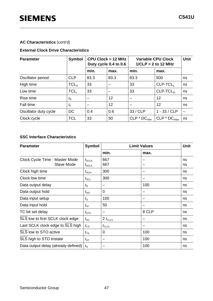# **AC Characteristics** (cont'd)

### **External Clock Drive Characteristics**

| <b>Parameter</b>      | Symbol           |      | $CPU \, Clock = 12 \, MHz$<br>Duty cycle 0.4 to 0.6 | <b>Variable CPU Clock</b><br>$1/CLP = 2$ to 12 MHz | Unit           |    |
|-----------------------|------------------|------|-----------------------------------------------------|----------------------------------------------------|----------------|----|
|                       |                  | min. | max.                                                | min.                                               | max.           |    |
| Oscillator period     | <b>CLP</b>       | 83.3 | 83.3                                                | 83.3                                               | 500            | ns |
| High time             | TCL <sub>H</sub> | 33   |                                                     | 33                                                 | $CLP-TCL$      | ns |
| Low time              | TCL              | 33   |                                                     | 33                                                 | $CLP-TCLH$     | ns |
| Rise time             | $t_{\mathsf{R}}$ |      | 12                                                  |                                                    | 12             | ns |
| Fall time             | $t_{\rm F}$      |      | 12                                                  |                                                    | 12             | ns |
| Oscillator duty cycle | DC               | 0.4  | 0.6                                                 | 33 / CLP                                           | $1 - 33 / CLP$ |    |
| Clock cycle           | <b>TCL</b>       | 33   | 50                                                  | $CLP * DC_{min}$                                   | $CLP * DCmax$  | ns |

### **SSC Interface Characteristics**

| <b>Parameter</b>                            | <b>Symbol</b>                                                  |                   | <b>Unit</b> |          |
|---------------------------------------------|----------------------------------------------------------------|-------------------|-------------|----------|
|                                             |                                                                | min.              | max.        |          |
| Clock Cycle Time: Master Mode<br>Slave Mode | $t_{\scriptstyle\text{SCLK}}$<br>$t_{\scriptstyle\text{SCLK}}$ | 667<br>667        |             | ns<br>ns |
| Clock high time                             | $t_{\scriptstyle\text{SCH}}$                                   | 300               |             | ns       |
| Clock low time                              | $t_{\scriptstyle\textrm{SCL}}$                                 | 300               |             | ns       |
| Data output delay                           | $t_{\mathsf{D}}$                                               |                   | 100         | ns       |
| Data output hold                            | $t_{\text{HO}}$                                                | 0                 |             | ns       |
| Data input setup                            | $t_{\rm S}$                                                    | 100               |             | ns       |
| Data input hold                             | $t_{\rm HI}$                                                   | 50                |             | ns       |
| TC bit set delay                            | $t_{\text{DTC}}$                                               |                   | 8 CLP       | ns       |
| SLS low to first SCLK clock edge            | $t_{\rm SC}$                                                   | 2 $t_{CLCL}$      |             | ns       |
| Last SCLK clock edge to SLS high            | $t_{\text{CS}}$                                                | $t_{\text{CLCL}}$ |             | ns       |
| SLS low to STO active                       | $t_{\scriptstyle{\text{TS}}}$                                  | 0                 | 100         | ns       |
| SLS high to STO tristate                    | $t_{\mathsf{ST}}$                                              |                   | 100         | ns       |
| Data output delay (already defined)         | $t_{\rm D}$                                                    |                   | 100         | ns       |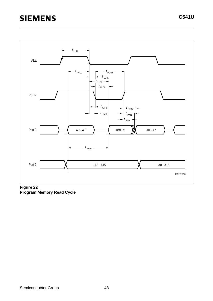

 **Figure 22 Program Memory Read Cycle**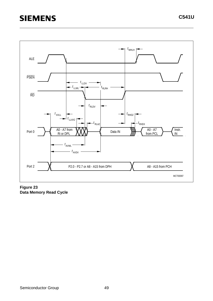

**Figure 23 Data Memory Read Cycle**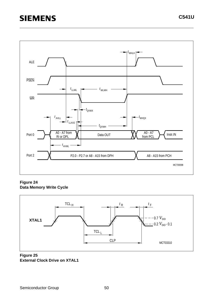

**Figure 24 Data Memory Write Cycle** 



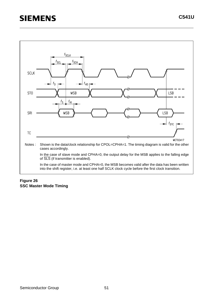

# **Figure 26 SSC Master Mode Timing**

**C541U**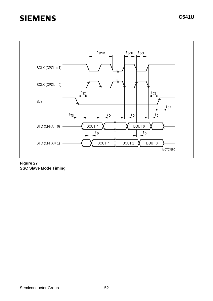

**Figure 27 SSC Slave Mode Timing**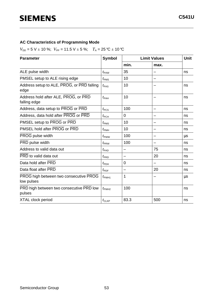### **AC Characteristics of Programming Mode**

 $V_{DD} = 5$  V  $\pm$  10 %;  $V_{PP} = 11.5$  V  $\pm$  5 %;  $T_A = 25$  °C  $\pm$  10 °C

| <b>Parameter</b>                                     | <b>Symbol</b>      |                | <b>Limit Values</b> |    |  |
|------------------------------------------------------|--------------------|----------------|---------------------|----|--|
|                                                      |                    | min.           | max.                |    |  |
| ALE pulse width                                      | $t_{\text{PAW}}$   | 35             |                     | ns |  |
| PMSEL setup to ALE rising edge                       | $t_{\text{PMS}}$   | 10             |                     |    |  |
| Address setup to ALE, PROG, or PRD falling<br>edge   | $t_{\text{PAS}}$   | 10             |                     | ns |  |
| Address hold after ALE, PROG, or PRD<br>falling edge | $t_{\sf PAH}$      | 10             |                     | ns |  |
| Address, data setup to PROG or PRD                   | $t_{\text{PCS}}$   | 100            |                     | ns |  |
| Address, data hold after PROG or PRD                 | $t_{\mathsf{PCH}}$ | $\overline{0}$ |                     | ns |  |
| PMSEL setup to PROG or PRD                           | $t_{\text{PMS}}$   | 10             | —                   | ns |  |
| PMSEL hold after PROG or PRD                         | $t_{\text{PMH}}$   | 10             |                     | ns |  |
| PROG pulse width                                     | $t_{\text{PWW}}$   | 100            |                     | μs |  |
| PRD pulse width                                      | $t_{\rm PRW}$      | 100            |                     | ns |  |
| Address to valid data out                            | $t_{\sf{PAD}}$     |                | 75                  | ns |  |
| PRD to valid data out                                | $t_{\sf PRD}$      |                | 20                  | ns |  |
| Data hold after PRD                                  | $t_{\sf{PDH}}$     | 0              |                     | ns |  |
| Data float after PRD                                 | $t_{\text{PDF}}$   |                | 20                  | ns |  |
| PROG high between two consecutive PROG<br>low pulses | $t_{\text{PWH1}}$  | 1              |                     | μs |  |
| PRD high between two consecutive PRD low<br>pulses   | $t_{\text{PWH2}}$  | 100            |                     | ns |  |
| <b>XTAL clock period</b>                             | $t_{CLKP}$         | 83.3           | 500                 | ns |  |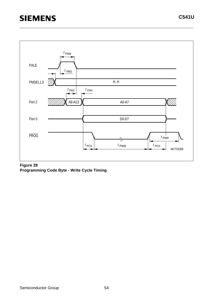

#### **Figure 28 Programming Code Byte - Write Cycle Timing**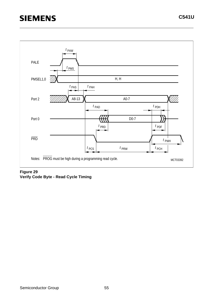

# **Figure 29 Verify Code Byte - Read Cycle Timing**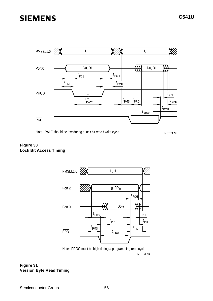

#### **Figure 30 Lock Bit Access Timing**



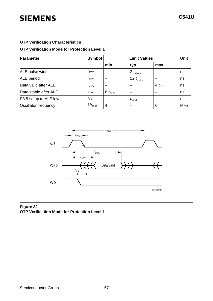### **OTP Verification Mode for Protection Level 1**

| <b>Parameter</b>      | <b>Symbol</b>    |              | Unit          |             |            |
|-----------------------|------------------|--------------|---------------|-------------|------------|
|                       |                  | min.         | typ           | max.        |            |
| ALE pulse width       | $t_{\text{AWD}}$ | -            | $2 t_{CLCL}$  |             | ns         |
| ALE period            | $t_{\rm ACY}$    |              | 12 $t_{CLCL}$ |             | ns         |
| Data valid after ALE  | $t_{\text{DVA}}$ | -            |               | $4t_{CLCL}$ | ns         |
| Data stable after ALE | $t_{\text{DSA}}$ | $8 t_{CLCL}$ |               |             | ns         |
| P3.5 setup to ALE low | $t_{AS}$         | -            | $t_{CLCL}$    |             | ns         |
| Oscillator frequency  | $1/t_{CLCL}$     | 4            |               | 6           | <b>MHz</b> |



### **Figure 32 OTP Verification Mode for Protection Level 1**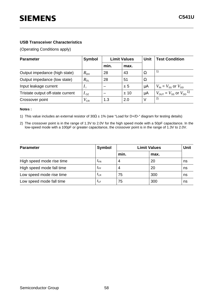#### **USB Transceiver Characteristics**

(Operating Conditions apply)

| <b>Parameter</b>                  | <b>Symbol</b>   | <b>Limit Values</b> |      | <b>Unit</b> | <b>Test Condition</b>                                   |
|-----------------------------------|-----------------|---------------------|------|-------------|---------------------------------------------------------|
|                                   |                 | min.                | max. |             |                                                         |
| Output impedance (high state)     | $R_{\text{DH}}$ | 28                  | 43   | $\Omega$    | 1)                                                      |
| Output impedance (low state)      | $R_{\text{DL}}$ | 28                  | 51   | Ω           |                                                         |
| Input leakage current             |                 |                     | ± 5  | μA          | $V_{\text{IN}} = V_{\text{SS}}$ or $V_{\text{DD}}$      |
| Tristate output off-state current | $I_{\text{oz}}$ |                     | ±10  | μA          | $V_{\text{OUT}} = V_{\text{SS}}$ or $V_{\text{DD}}^{1}$ |
| Crossover point                   | $V_{\sf CR}$    | 1.3                 | 2.0  | $\vee$      | 2)                                                      |

#### **Notes :**

1) This value includes an external resistor of 30Ω ± 1% (see "Load for D+/D-" diagram for testing details)

2) The crossover point is in the range of 1.3V to 2.0V for the high speed mode with a 50pF capacitance. In the low-speed mode with a 100pF or greater capacitance, the crossover point is in the range of 1.3V to 2.0V.

| <b>Parameter</b>          | <b>Symbol</b>   |      | <b>Limit Values</b> | Unit |
|---------------------------|-----------------|------|---------------------|------|
|                           |                 | min. | max.                |      |
| High speed mode rise time | $l_{\text{FR}}$ | 4    | 20                  | ns   |
| High speed mode fall time | $t_{\sf FF}$    | 4    | 20                  | ns   |
| Low speed mode rise time  | $l_{LR}$        | 75   | 300                 | ns   |
| Low speed mode fall time  | $l_{LF}$        | 75   | 300                 | ns   |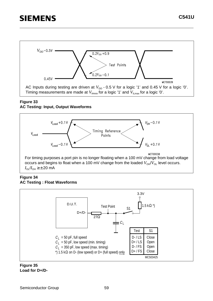

### **Figure 33**

### **AC Testing: Input, Output Waveforms**



#### **Figure 34 AC Testing : Float Waveforms**



#### **Figure 35 Load for D+/D-**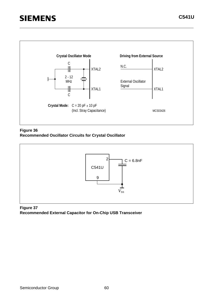

**Figure 36 Recommended Oscillator Circuits for Crystal Oscillator**